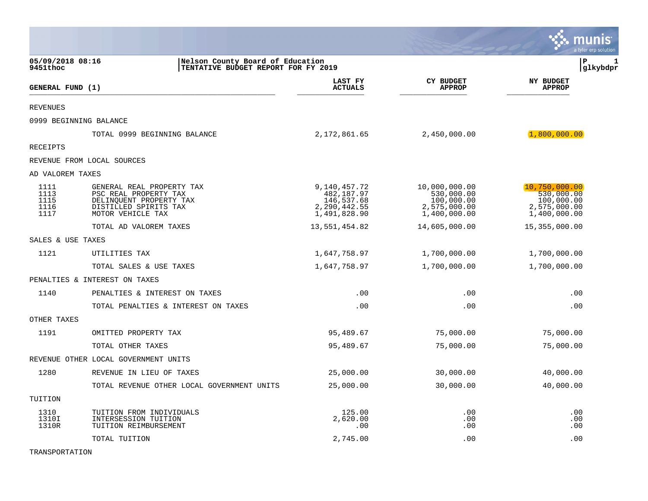|                                      |                                                                                                                             |                                                                          |                                                                           | munis<br>a tyler erp solution                                             |
|--------------------------------------|-----------------------------------------------------------------------------------------------------------------------------|--------------------------------------------------------------------------|---------------------------------------------------------------------------|---------------------------------------------------------------------------|
| 05/09/2018 08:16<br>9451thoc         | Nelson County Board of Education<br>TENTATIVE BUDGET REPORT FOR FY 2019                                                     |                                                                          |                                                                           | ∣P<br>1<br>gllkybdpr                                                      |
| GENERAL FUND (1)                     |                                                                                                                             | LAST FY<br><b>ACTUALS</b>                                                | <b>CY BUDGET</b><br><b>APPROP</b>                                         | <b>NY BUDGET</b><br><b>APPROP</b>                                         |
| <b>REVENUES</b>                      |                                                                                                                             |                                                                          |                                                                           |                                                                           |
|                                      | 0999 BEGINNING BALANCE                                                                                                      |                                                                          |                                                                           |                                                                           |
|                                      | TOTAL 0999 BEGINNING BALANCE                                                                                                | 2,172,861.65                                                             | 2,450,000.00                                                              | (1, 800, 000.00)                                                          |
| <b>RECEIPTS</b>                      |                                                                                                                             |                                                                          |                                                                           |                                                                           |
|                                      | REVENUE FROM LOCAL SOURCES                                                                                                  |                                                                          |                                                                           |                                                                           |
| AD VALOREM TAXES                     |                                                                                                                             |                                                                          |                                                                           |                                                                           |
| 1111<br>1113<br>1115<br>1116<br>1117 | GENERAL REAL PROPERTY TAX<br>PSC REAL PROPERTY TAX<br>DELINQUENT PROPERTY TAX<br>DISTILLED SPIRITS TAX<br>MOTOR VEHICLE TAX | 9,140,457.72<br>482,187.97<br>146,537.68<br>2,290,442.55<br>1,491,828.90 | 10,000,000.00<br>530,000.00<br>100,000.00<br>2,575,000.00<br>1,400,000.00 | 10,750,000.00<br>530,000.00<br>100,000.00<br>2,575,000.00<br>1,400,000.00 |
|                                      | TOTAL AD VALOREM TAXES                                                                                                      | 13,551,454.82                                                            | 14,605,000.00                                                             | 15,355,000.00                                                             |
| SALES & USE TAXES                    |                                                                                                                             |                                                                          |                                                                           |                                                                           |
| 1121                                 | UTILITIES TAX                                                                                                               | 1,647,758.97                                                             | 1,700,000.00                                                              | 1,700,000.00                                                              |
|                                      | TOTAL SALES & USE TAXES                                                                                                     | 1,647,758.97                                                             | 1,700,000.00                                                              | 1,700,000.00                                                              |
|                                      | PENALTIES & INTEREST ON TAXES                                                                                               |                                                                          |                                                                           |                                                                           |
| 1140                                 | PENALTIES & INTEREST ON TAXES                                                                                               | .00                                                                      | .00                                                                       | .00                                                                       |
|                                      | TOTAL PENALTIES & INTEREST ON TAXES                                                                                         | .00                                                                      | .00                                                                       | .00                                                                       |
| OTHER TAXES                          |                                                                                                                             |                                                                          |                                                                           |                                                                           |
| 1191                                 | OMITTED PROPERTY TAX                                                                                                        | 95,489.67                                                                | 75,000.00                                                                 | 75,000.00                                                                 |
|                                      | TOTAL OTHER TAXES                                                                                                           | 95,489.67                                                                | 75,000.00                                                                 | 75,000.00                                                                 |
|                                      | REVENUE OTHER LOCAL GOVERNMENT UNITS                                                                                        |                                                                          |                                                                           |                                                                           |
| 1280                                 | REVENUE IN LIEU OF TAXES                                                                                                    | 25,000.00                                                                | 30,000.00                                                                 | 40,000.00                                                                 |
|                                      | TOTAL REVENUE OTHER LOCAL GOVERNMENT UNITS                                                                                  | 25,000.00                                                                | 30,000.00                                                                 | 40,000.00                                                                 |
| TUITION                              |                                                                                                                             |                                                                          |                                                                           |                                                                           |
| 1310<br>1310I<br>1310R               | TUITION FROM INDIVIDUALS<br>INTERSESSION TUITION<br>TUITION REIMBURSEMENT                                                   | 125.00<br>2,620.00<br>.00                                                | .00<br>.00<br>.00                                                         | .00<br>.00<br>.00                                                         |
|                                      | TOTAL TUITION                                                                                                               | 2,745.00                                                                 | .00                                                                       | .00                                                                       |

TRANSPORTATION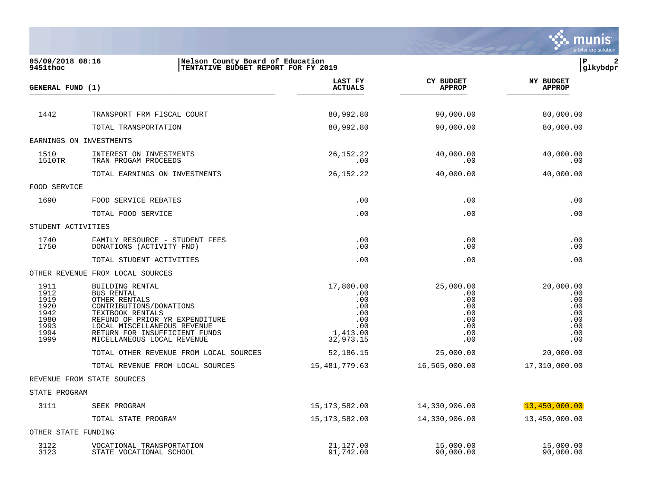

| 05/09/2018 08:16<br>Nelson County Board of Education<br>TENTATIVE BUDGET REPORT FOR FY 2019<br>9451thoc |                                                                                                                                                                                                                               |                                                                              |                                                                   | l P<br> glkybdpr                                                  |
|---------------------------------------------------------------------------------------------------------|-------------------------------------------------------------------------------------------------------------------------------------------------------------------------------------------------------------------------------|------------------------------------------------------------------------------|-------------------------------------------------------------------|-------------------------------------------------------------------|
| <b>GENERAL FUND (1)</b>                                                                                 |                                                                                                                                                                                                                               | LAST FY<br><b>ACTUALS</b>                                                    | <b>CY BUDGET</b><br><b>APPROP</b>                                 | <b>NY BUDGET</b><br><b>APPROP</b>                                 |
|                                                                                                         |                                                                                                                                                                                                                               |                                                                              |                                                                   |                                                                   |
| 1442                                                                                                    | TRANSPORT FRM FISCAL COURT                                                                                                                                                                                                    | 80,992.80                                                                    | 90,000.00                                                         | 80,000.00                                                         |
|                                                                                                         | TOTAL TRANSPORTATION                                                                                                                                                                                                          | 80,992.80                                                                    | 90,000.00                                                         | 80,000.00                                                         |
|                                                                                                         | EARNINGS ON INVESTMENTS                                                                                                                                                                                                       |                                                                              |                                                                   |                                                                   |
| 1510<br>1510TR                                                                                          | INTEREST ON INVESTMENTS<br>TRAN PROGAM PROCEEDS                                                                                                                                                                               | 26, 152. 22<br>.00                                                           | 40,000.00<br>.00                                                  | 40,000.00<br>.00                                                  |
|                                                                                                         | TOTAL EARNINGS ON INVESTMENTS                                                                                                                                                                                                 | 26, 152. 22                                                                  | 40,000.00                                                         | 40,000.00                                                         |
| FOOD SERVICE                                                                                            |                                                                                                                                                                                                                               |                                                                              |                                                                   |                                                                   |
| 1690                                                                                                    | FOOD SERVICE REBATES                                                                                                                                                                                                          | .00                                                                          | .00                                                               | .00                                                               |
|                                                                                                         | TOTAL FOOD SERVICE                                                                                                                                                                                                            | .00                                                                          | .00                                                               | .00                                                               |
| STUDENT ACTIVITIES                                                                                      |                                                                                                                                                                                                                               |                                                                              |                                                                   |                                                                   |
| 1740<br>1750                                                                                            | FAMILY RESOURCE - STUDENT FEES<br>DONATIONS (ACTIVITY FND)                                                                                                                                                                    | .00<br>.00                                                                   | .00<br>.00                                                        | .00<br>.00                                                        |
|                                                                                                         | TOTAL STUDENT ACTIVITIES                                                                                                                                                                                                      | .00                                                                          | .00                                                               | .00                                                               |
|                                                                                                         | OTHER REVENUE FROM LOCAL SOURCES                                                                                                                                                                                              |                                                                              |                                                                   |                                                                   |
| 1911<br>1912<br>1919<br>1920<br>1942<br>1980<br>1993<br>1994<br>1999                                    | BUILDING RENTAL<br>BUS RENTAL<br>OTHER RENTALS<br>CONTRIBUTIONS/DONATIONS<br>TEXTBOOK RENTALS<br>REFUND OF PRIOR YR EXPENDITURE<br>LOCAL MISCELLANEOUS REVENUE<br>RETURN FOR INSUFFICIENT FUNDS<br>MICELLANEOUS LOCAL REVENUE | 17,800.00<br>.00<br>.00<br>.00<br>.00<br>.00<br>.00<br>1,413.00<br>32,973.15 | 25,000.00<br>.00<br>.00<br>.00<br>.00<br>.00<br>.00<br>.00<br>.00 | 20,000.00<br>.00<br>.00<br>.00<br>.00<br>.00<br>.00<br>.00<br>.00 |
|                                                                                                         | TOTAL OTHER REVENUE FROM LOCAL SOURCES                                                                                                                                                                                        | 52,186.15                                                                    | 25,000.00                                                         | 20,000.00                                                         |
|                                                                                                         | TOTAL REVENUE FROM LOCAL SOURCES                                                                                                                                                                                              | 15,481,779.63                                                                | 16,565,000.00                                                     | 17,310,000.00                                                     |
|                                                                                                         | REVENUE FROM STATE SOURCES                                                                                                                                                                                                    |                                                                              |                                                                   |                                                                   |
| STATE PROGRAM                                                                                           |                                                                                                                                                                                                                               |                                                                              |                                                                   |                                                                   |
| 3111                                                                                                    | SEEK PROGRAM                                                                                                                                                                                                                  | 15, 173, 582.00                                                              | 14,330,906.00                                                     | 13,450,000.00                                                     |
|                                                                                                         | TOTAL STATE PROGRAM                                                                                                                                                                                                           | 15,173,582.00                                                                | 14,330,906.00                                                     | 13,450,000.00                                                     |
| OTHER STATE FUNDING                                                                                     |                                                                                                                                                                                                                               |                                                                              |                                                                   |                                                                   |
| 3122<br>3123                                                                                            | VOCATIONAL TRANSPORTATION<br>STATE VOCATIONAL SCHOOL                                                                                                                                                                          | 21,127.00<br>91,742.00                                                       | 15,000.00<br>90,000.00                                            | 15,000.00<br>90,000.00                                            |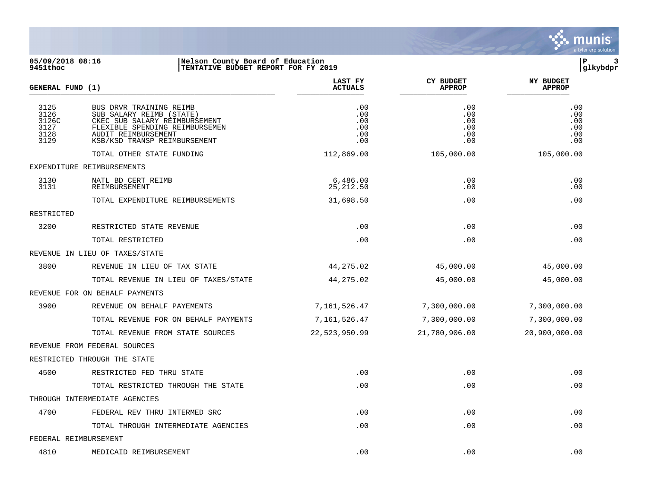

05/09/2018 08:16 **| Nelson County Board of Education**<br>
9451thoc **| P 3**<br>
9451thoc | TENTATIVE BUDGET REPORT FOR FY 2019 **9451thoc |TENTATIVE BUDGET REPORT FOR FY 2019 |glkybdpr LAST FY CY BUDGET NY BUDGET**  $GENERAL$  **FUND** (1) \_\_\_\_\_\_\_\_\_\_\_\_\_\_\_\_\_\_\_\_\_\_\_\_\_\_\_\_\_\_\_\_\_\_\_\_\_\_\_\_\_\_\_\_\_\_\_\_\_\_\_\_\_\_\_ \_\_\_\_\_\_\_\_\_\_\_\_\_\_\_ \_\_\_\_\_\_\_\_\_\_\_\_\_\_\_ \_\_\_\_\_\_\_\_\_\_\_\_\_\_ 3125 BUS DRVR TRAINING REIMB .00 .00 .00 3126 SUB SALARY REIMB (STATE) .00 .00 .00 3126C CKEC SUB SALARY REIMBURSEMENT .00 .00 .00 3127 FLEXIBLE SPENDING REIMBURSEMEN .00 .00 .00 3128 AUDIT REIMBURSEMENT .00 .00 .00 KSB/KSD TRANSP REIMBURSEMENT TOTAL OTHER STATE FUNDING 112,869.00 105,000.00 105,000.00 EXPENDITURE REIMBURSEMENTS 3130 NATL BD CERT REIMB 6,486.00 .00 .00 3131 REIMBURSEMENT 25,212.50 .00 .00 TOTAL EXPENDITURE REIMBURSEMENTS 00 31,698.50 .00 .00 .00 .00 RESTRICTED 3200 RESTRICTED STATE REVENUE .00 .00 .00 TOTAL RESTRICTED .00 .00 .00 REVENUE IN LIEU OF TAXES/STATE 3800 REVENUE IN LIEU OF TAX STATE 44,275.02 45,000.00 45,000.00 TOTAL REVENUE IN LIEU OF TAXES/STATE 44,275.02 45,000.00 45,000.00 REVENUE FOR ON BEHALF PAYMENTS 3900 REVENUE ON BEHALF PAYEMENTS 7,161,526.47 7,300,000.00 7,300,000.00 TOTAL REVENUE FOR ON BEHALF PAYMENTS 7,161,526.47 7,300,000.00 7,300,000 7,300,000.00 TOTAL REVENUE FROM STATE SOURCES 22,523,950.99 21,780,906.00 20,900,000.00 REVENUE FROM FEDERAL SOURCES RESTRICTED THROUGH THE STATE 4500 RESTRICTED FED THRU STATE .00 .00 .00 TOTAL RESTRICTED THROUGH THE STATE .00 .00 .00 THROUGH INTERMEDIATE AGENCIES 4700 FEDERAL REV THRU INTERMED SRC .00 .00 .00 TOTAL THROUGH INTERMEDIATE AGENCIES  $\qquad \qquad .00$  .00 .00 .00 .00 .00 .00

FEDERAL REIMBURSEMENT 4810 MEDICAID REIMBURSEMENT .00 .00 .00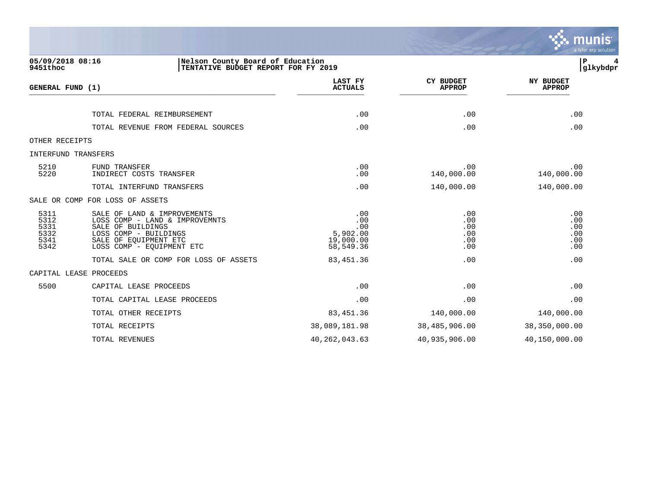|                                              |                                                                                                                                                                   |                                                         |                                        | munis<br>a tyler erp solution          |
|----------------------------------------------|-------------------------------------------------------------------------------------------------------------------------------------------------------------------|---------------------------------------------------------|----------------------------------------|----------------------------------------|
| 05/09/2018 08:16<br>9451thoc                 | Nelson County Board of Education<br>TENTATIVE BUDGET REPORT FOR FY 2019                                                                                           |                                                         |                                        | $\, {\bf P}$<br>glkybdpr               |
| GENERAL FUND (1)                             |                                                                                                                                                                   | LAST FY<br><b>ACTUALS</b>                               | <b>CY BUDGET</b><br><b>APPROP</b>      | <b>NY BUDGET</b><br><b>APPROP</b>      |
|                                              | TOTAL FEDERAL REIMBURSEMENT                                                                                                                                       | .00                                                     | .00                                    | .00                                    |
|                                              | TOTAL REVENUE FROM FEDERAL SOURCES                                                                                                                                | .00                                                     | .00                                    | .00                                    |
| OTHER RECEIPTS                               |                                                                                                                                                                   |                                                         |                                        |                                        |
| INTERFUND TRANSFERS                          |                                                                                                                                                                   |                                                         |                                        |                                        |
| 5210<br>5220                                 | FUND TRANSFER<br>INDIRECT COSTS TRANSFER                                                                                                                          | .00<br>.00                                              | .00<br>140,000.00                      | .00<br>140,000.00                      |
|                                              | TOTAL INTERFUND TRANSFERS                                                                                                                                         | .00                                                     | 140,000.00                             | 140,000.00                             |
|                                              | SALE OR COMP FOR LOSS OF ASSETS                                                                                                                                   |                                                         |                                        |                                        |
| 5311<br>5312<br>5331<br>5332<br>5341<br>5342 | SALE OF LAND & IMPROVEMENTS<br>LOSS COMP - LAND & IMPROVEMNTS<br>SALE OF BUILDINGS<br>LOSS COMP - BUILDINGS<br>SALE OF EQUIPMENT ETC<br>LOSS COMP - EQUIPMENT ETC | .00<br>.00<br>.00<br>5,902.00<br>19,000.00<br>58,549.36 | .00<br>.00<br>.00<br>.00<br>.00<br>.00 | .00<br>.00<br>.00<br>.00<br>.00<br>.00 |
|                                              | TOTAL SALE OR COMP FOR LOSS OF ASSETS                                                                                                                             | 83, 451.36                                              | .00                                    | .00                                    |
|                                              | CAPITAL LEASE PROCEEDS                                                                                                                                            |                                                         |                                        |                                        |
| 5500                                         | CAPITAL LEASE PROCEEDS                                                                                                                                            | .00                                                     | .00                                    | .00                                    |
|                                              | TOTAL CAPITAL LEASE PROCEEDS                                                                                                                                      | .00                                                     | .00                                    | .00                                    |
|                                              | TOTAL OTHER RECEIPTS                                                                                                                                              | 83, 451.36                                              | 140,000.00                             | 140,000.00                             |
|                                              | TOTAL RECEIPTS                                                                                                                                                    | 38,089,181.98                                           | 38,485,906.00                          | 38,350,000.00                          |
|                                              | <b>TOTAL REVENUES</b>                                                                                                                                             | 40, 262, 043.63                                         | 40,935,906.00                          | 40,150,000.00                          |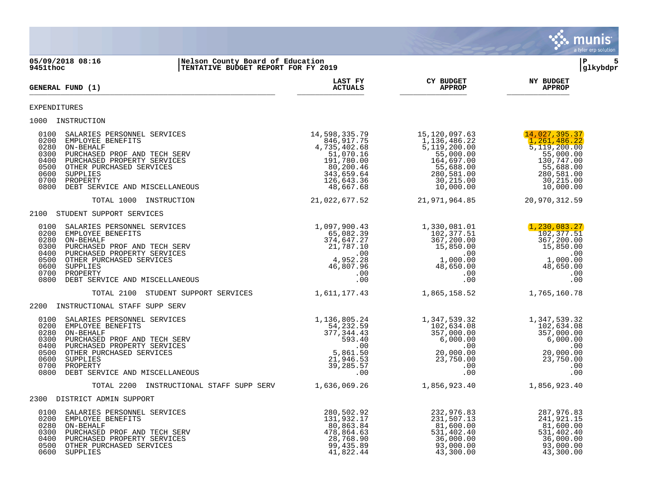

**05/09/2018 08:16 |Nelson County Board of Education |P 5 ITENTATIVE BUDGET REPORT FOR FY 2019 LAST FY CY BUDGET NY BUDGET**  $GENERAL$  **FUND** (1) \_\_\_\_\_\_\_\_\_\_\_\_\_\_\_\_\_\_\_\_\_\_\_\_\_\_\_\_\_\_\_\_\_\_\_\_\_\_\_\_\_\_\_\_\_\_\_\_\_\_\_\_\_\_\_ \_\_\_\_\_\_\_\_\_\_\_\_\_\_\_ \_\_\_\_\_\_\_\_\_\_\_\_\_\_\_ \_\_\_\_\_\_\_\_\_\_\_\_\_\_ EXPENDITURES 1000 INSTRUCTION 0100 SALARIES PERSONNEL SERVICES 14,598,335.79 15,120,097.63 (14,027,395.37)<br>0200 EMPLOYEE BENEFITS 1,136,486.22 1,261,486.22 0200 EMPLOYEE BENEFITS (1,136,486.22 1,136,486.22 1,136,486.22 1,136,486.22 1,136,486.22 1,261,486.22 1,261,486.22 1,261,486.22 1,261,486.22 1,261,486.22 1,261,486.22 1,261,486.22 1,200.00 1,200.00 1,200.00 1,200.00 1,200.  $\begin{array}{cccc} 0.846,917.75 & -0.7426,486.22 & -0.7426,486.22 \ 735,402.68 & 5,119,200.00 & 5,119,200.00 \ 51,070.16 & 55,000.00 & 55,000.00 \end{array}$ 0300 PURCHASED PROF AND TECH SERV 51,070.16 55,000.00 55,000.00 55,000.00 55,000.00 55,000.00 55,000.00 55,000<br>0400 PURCHASED PROPERTY SERVICES 5 680 00 500,200.46 55,688.00 55,688.00 55,688.00 55,688.00 55,688.00 55,688 0400 PURCHASED PROPERTY SERVICES 191,780.00 164,697.00 130,747.00 0500 OTHER PURCHASED SERVICES<br>
0600 SUPPLIES<br>
0700 PROPERTY<br>
0700 PROPERTY 343,659.64 280,581.00<br>
0800 DEBT SERVICE AND MISCELLANEOUS<br>
0800 DEBT SERVICE AND MISCELLANEOUS<br>
0800 DEBT SERVICE AND MISCELLANEOUS<br>
0800 DEBT SER 0600 SUPPLIES 343,659.64 280,581.00 280,581.00 0700 PROPERTY 30,215.00 30,215.00 0700 PROPERTY 126,643.36 30,215.00 30,215.00 30,215.00 30,215.00 30,215.00 30,215.00 30,215.00 30,215.00 30,215<br>0800 DEBT SERVICE AND MISCELLANEOUS 48,667.68 48,667.68 10,000.00 10,000.00 10,000.00 TOTAL 1000 INSTRUCTION 21,022,677.52 21,971,964.85 20,970,312.59 2100 STUDENT SUPPORT SERVICES 0100 SALARIES PERSONNEL SERVICES 1,097,900.43 1,330,081.01 1,230,083.27 0200 EMPLOYEE BENEFITS CONSULTER AND CONSULTER THE SERVICE OF SUBSEXUAL SERVICE OF SUBSEXUAL SERVICE OF SUBSEXU<br>0280 ON-BEHALF 374,647.27 367,200.00 367,200.00 037,900.43 <br>
05,082.39 <br>
05,082.39 <br>
065,082.37 <br>
02,377.51 <br>
02,377.51 <br>
067,200.00 <br>
05,850.00 <br>
15,850.00 <br>
15,850.00 0300 PURCHASED PROF AND TECH SERV  $21,787.10$   $15,850.00$   $15,850.00$   $15,850.00$   $15,850.00$   $15,850.00$   $1,000.00$   $1,000.00$   $1,000.00$   $1,000.00$   $1,000.00$  0400 PURCHASED PROPERTY SERVICES .00 .00 .00 0500 OTHER PURCHASED SERVICES 4,952.28 1,000.00 1,000.00 0600 PURCHASED PROPERTY SERVICES<br>
0600 OTHER PURCHASED SERVICES<br>
0600 OTHER PURCHASED SERVICES<br>
0600 OTHER PURCHASED SERVICES<br>
46,807.96 1,000.00<br>
0600 OTHER PURCHASED SERVICES<br>
46,807.96 48,650.00<br>
00 00 0700 PROPERTY .00 .00 .00 0800 DEBT SERVICE AND MISCELLANEOUS .00 .00 .00 TOTAL 2100 STUDENT SUPPORT SERVICES 1,611,177.43 1,865,158.52 1,765,160.78 2200 INSTRUCTIONAL STAFF SUPP SERV 0100 SALARIES PERSONNEL SERVICES 1,136,805.24 1,347,539.32 1,347,539.32 0200 EMPLOYEE BENEFITS 54,232.59 102,634.08 102,634.08  $\begin{array}{ccccccc} 54,232.59 & & & 1/34',08 & & & & 102,634.08 \ 77,344.43 & & & & & 357,000.00 & & & & & 357,000.00 \ 593.40 & & & & & & 593.40 & & & & & 357,000.00 \end{array}$  0300 PURCHASED PROF AND TECH SERV 593.40 6,000.00 6,000.00 0400 PURCHASED PROPERTY SERVICES .00 .00 .00 0500 OTHER PURCHASED SERVICES 661.50 5,861.50 5,861.50 5,861.50 0600 SUPPLIES 21,946.53 23,750.00 23,750.00 0700 PROPERTY 39,285.57 .00 .00 0800 DEBT SERVICE AND MISCELLANEOUS .00 .00 .00 TOTAL 2200 INSTRUCTIONAL STAFF SUPP SERV 1,636,069.26 1,856,923.40 1,856,923.40 2300 DISTRICT ADMIN SUPPORT 0100 SALARIES PERSONNEL SERVICES (280,502.92 232,976.83 287,976.83 287,976.83 287,976.83 287,976.83 287,976.83<br>231,507.13 241,921.15 0200 EMPLOYEE BENEFITS 131,932.17 231,507.13 241,921.15  $\begin{array}{ccccccc} 131,932.17 & & & & & & & & 231,507.13 & & & & & & 241,921.15 \\ 80,863.84 & & & & & 81,600.00 & & & & 81,600.00 \\ 478,864.63 & & & & 531,402.40 & & & 531,402.40 \\ 28,768.90 & & & & 36,000.00 & & & 36,000.00 \\ 99,435.89 & & & & & 93,000.00 & & & 93,000.00 \end{array}$ 0300 PURCHASED PROF AND TECH SERV 400 (1999) 478,864.63 531,402.40 531,402.40 531,402.40 531,402.40 531,402.40<br>0400 PURCHASED PROPERTY SERVICES 6.000.00 56.000.00 56.000.00 56.000.00 56.000.00

 0400 PURCHASED PROPERTY SERVICES 28,768.90 36,000.00 36,000.00 0500 OTHER PURCHASED SERVICES 99,435.89 93,000.00 93,000.00

43,300.00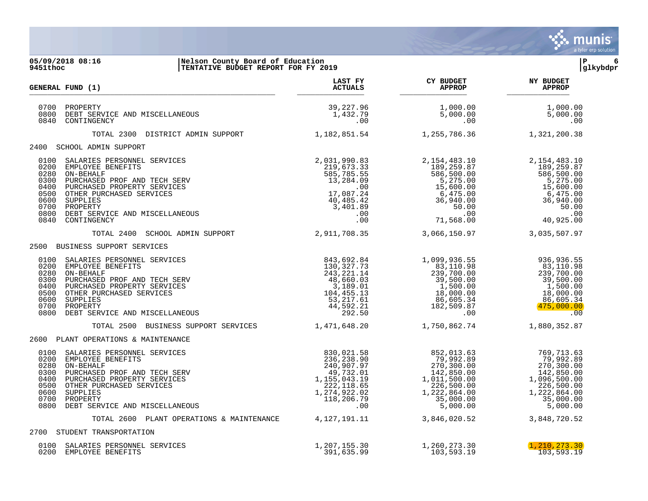

| 05/09/2018 08:16<br>Nelson County Board of Education<br>TENTATIVE BUDGET REPORT FOR FY 2019<br>9451thoc                                                                                                                                                                                                                                                   |                              |                                                          | ∣P<br>6<br>glkybdpr                                                                                                        |
|-----------------------------------------------------------------------------------------------------------------------------------------------------------------------------------------------------------------------------------------------------------------------------------------------------------------------------------------------------------|------------------------------|----------------------------------------------------------|----------------------------------------------------------------------------------------------------------------------------|
| <b>GENERAL FUND (1)</b>                                                                                                                                                                                                                                                                                                                                   |                              | LAST FY CY BUDGET NY BUDGET ACTUALS APPROP APPROP APPROP |                                                                                                                            |
| 0700 PROPERTY<br>0800 DEBT SERVICE AND MISCELLANEOUS<br>0840 CONTINGENCY                                                                                                                                                                                                                                                                                  | 39,227.96<br>1,432.79<br>.00 | 1,000.00<br>5,000.00<br>.00                              | 1,000.00<br>5,000.00<br>.00                                                                                                |
| TOTAL 2300 DISTRICT ADMIN SUPPORT 1,182,851.54 1,255,786.36 1,321,200.38                                                                                                                                                                                                                                                                                  |                              |                                                          |                                                                                                                            |
| 2400 SCHOOL ADMIN SUPPORT                                                                                                                                                                                                                                                                                                                                 |                              |                                                          |                                                                                                                            |
| 100 SALATES DERINIT CONTROLLANEOUS AND MISCELLANEOUS (100 SALATES 200 EMPLOYEE BENSONNEL SERVICES 200 EMPLOYEE BENSONNEL SERVICES 219,673.33 219,673.33 219,673.33 219,673.33 219,673.33 219,673.33 219,673.33 219,673.33 219,                                                                                                                            |                              |                                                          |                                                                                                                            |
| TOTAL 2400 SCHOOL ADMIN SUPPORT 2,911,708.35 3,066,150.97                                                                                                                                                                                                                                                                                                 |                              |                                                          | 3,035,507.97                                                                                                               |
| 2500 BUSINESS SUPPORT SERVICES                                                                                                                                                                                                                                                                                                                            |                              |                                                          |                                                                                                                            |
| $\begin{array}{cccccc} 0100 & \texttt{SALARIES } \texttt{BERSONNEL} & \texttt{SERVICES} & & & & & & & 1,099,936.55 & & & & 936,936.55 \\ 0200 & \texttt{EMPLOYEE } \texttt{BENEFITS} & & & & & & 1,099,936.55 & & & & 936,936.55 \\ 0200 & \texttt{URCHASEP} & \texttt{BENEFITS} & & & & & & 1,30,327.73 & & & 83,110.98 & & & 83,110.98 & & & 83,110.98$ |                              |                                                          |                                                                                                                            |
| TOTAL 2500 BUSINESS SUPPORT SERVICES 1,471,648.20 1,750,862.74                                                                                                                                                                                                                                                                                            |                              |                                                          | 1,880,352.87                                                                                                               |
| 2600 PLANT OPERATIONS & MAINTENANCE                                                                                                                                                                                                                                                                                                                       |                              |                                                          |                                                                                                                            |
| 0100 SALARIES PERSONNEL SERVICES<br>0280 ON-BEHALF PERSONNEL SERVICES<br>0280 ON-BEHALF PERSONNEL SERVICES<br>0300 PURCHASED PROF AND TECH SERV<br>0300 PURCHASED PROF AND TECH SERV<br>0400 OTHER PURCHASED SERVICES<br>0600 OTHER PURCHA                                                                                                                |                              |                                                          | 769,713.63<br>79,992.89<br>270,300.00<br>142,850.00<br>1,096,500.00<br>226,500.00<br>1,222,864.00<br>35,000.00<br>5,000.00 |
| TOTAL 2600 PLANT OPERATIONS & MAINTENANCE 4, 127, 191.11 3, 846, 020.52                                                                                                                                                                                                                                                                                   |                              |                                                          | 3,848,720.52                                                                                                               |
| 2700 STUDENT TRANSPORTATION                                                                                                                                                                                                                                                                                                                               |                              |                                                          |                                                                                                                            |

| 4700 DIODENI IRANDE ORIAIION                                  |                            |                            |                                 |
|---------------------------------------------------------------|----------------------------|----------------------------|---------------------------------|
| 0100 SALARIES PERSONNEL SERVICES<br>0200<br>EMPLOYEE BENEFITS | ⊥,207,155.30<br>391,635.99 | 1,260,273.30<br>103,593.19 | (1, 210, 273, 30)<br>103,593.19 |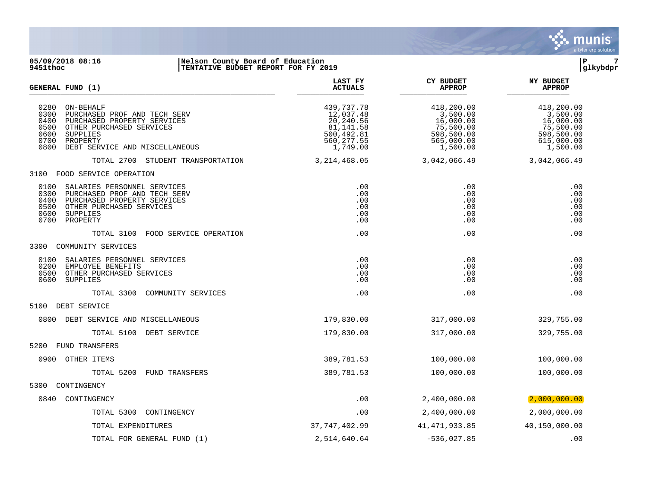

#### **05/09/2018 08:16 |Nelson County Board of Education |P 7 9451thoc |TENTATIVE BUDGET REPORT FOR FY 2019 |glkybdpr**

| GENERAL FUND (1)                                                                                                                                                                                                       | LAST FY<br><b>ACTUALS</b>                                                                  | <b>CY BUDGET</b><br><b>APPROP</b>                                                        | <b>NY BUDGET</b><br><b>APPROP</b>                                                        |
|------------------------------------------------------------------------------------------------------------------------------------------------------------------------------------------------------------------------|--------------------------------------------------------------------------------------------|------------------------------------------------------------------------------------------|------------------------------------------------------------------------------------------|
| 0280<br>ON-BEHALF<br>0300<br>PURCHASED PROF AND TECH SERV<br>0400<br>PURCHASED PROPERTY SERVICES<br>0500<br>OTHER PURCHASED SERVICES<br>0600<br>SUPPLIES<br>0700<br>PROPERTY<br>0800<br>DEBT SERVICE AND MISCELLANEOUS | 439,737.78<br>12,037.48<br>20,240.56<br>81,141.58<br>500,492.81<br>560, 277.55<br>1,749.00 | 418,200.00<br>3,500.00<br>16,000.00<br>75,500.00<br>598,500.00<br>565,000.00<br>1,500.00 | 418,200.00<br>3,500.00<br>16,000.00<br>75,500.00<br>598,500.00<br>615,000.00<br>1,500.00 |
| TOTAL 2700 STUDENT TRANSPORTATION                                                                                                                                                                                      | 3, 214, 468.05                                                                             | 3,042,066.49                                                                             | 3,042,066.49                                                                             |
| 3100<br>FOOD SERVICE OPERATION                                                                                                                                                                                         |                                                                                            |                                                                                          |                                                                                          |
| 0100<br>SALARIES PERSONNEL SERVICES<br>0300<br>PURCHASED PROF AND TECH SERV<br>0400<br>PURCHASED PROPERTY SERVICES<br>0500<br>OTHER PURCHASED SERVICES<br>0600<br>SUPPLIES<br>0700<br>PROPERTY                         | .00<br>.00<br>.00<br>.00<br>.00<br>.00                                                     | .00<br>.00<br>.00<br>.00<br>.00<br>.00                                                   | .00<br>.00<br>.00<br>.00<br>.00<br>.00                                                   |
| TOTAL 3100<br>FOOD SERVICE OPERATION                                                                                                                                                                                   | .00                                                                                        | .00                                                                                      | .00                                                                                      |
| 3300<br>COMMUNITY SERVICES                                                                                                                                                                                             |                                                                                            |                                                                                          |                                                                                          |
| SALARIES PERSONNEL SERVICES<br>0100<br>0200<br>EMPLOYEE BENEFITS<br>0500<br>OTHER PURCHASED SERVICES<br>0600<br>SUPPLIES                                                                                               | .00<br>.00<br>.00<br>.00                                                                   | .00<br>.00<br>.00<br>.00                                                                 | .00<br>.00<br>.00<br>.00                                                                 |
| TOTAL 3300<br>COMMUNITY SERVICES                                                                                                                                                                                       | .00                                                                                        | .00                                                                                      | .00                                                                                      |
| 5100<br>DEBT SERVICE                                                                                                                                                                                                   |                                                                                            |                                                                                          |                                                                                          |
| 0800<br>DEBT SERVICE AND MISCELLANEOUS                                                                                                                                                                                 | 179,830.00                                                                                 | 317,000.00                                                                               | 329,755.00                                                                               |
| TOTAL 5100 DEBT SERVICE                                                                                                                                                                                                | 179,830.00                                                                                 | 317,000.00                                                                               | 329,755.00                                                                               |
| 5200<br><b>FUND TRANSFERS</b>                                                                                                                                                                                          |                                                                                            |                                                                                          |                                                                                          |
| 0900<br>OTHER ITEMS                                                                                                                                                                                                    | 389,781.53                                                                                 | 100,000.00                                                                               | 100,000.00                                                                               |
| TOTAL 5200<br>FUND TRANSFERS                                                                                                                                                                                           | 389,781.53                                                                                 | 100,000.00                                                                               | 100,000.00                                                                               |
| 5300<br>CONTINGENCY                                                                                                                                                                                                    |                                                                                            |                                                                                          |                                                                                          |
| 0840<br>CONTINGENCY                                                                                                                                                                                                    | .00                                                                                        | 2,400,000.00                                                                             | (2,000,000.00)                                                                           |
| TOTAL 5300<br>CONTINGENCY                                                                                                                                                                                              | .00                                                                                        | 2,400,000.00                                                                             | 2,000,000.00                                                                             |
| TOTAL EXPENDITURES                                                                                                                                                                                                     | 37,747,402.99                                                                              | 41, 471, 933.85                                                                          | 40,150,000.00                                                                            |
| TOTAL FOR GENERAL FUND (1)                                                                                                                                                                                             | 2,514,640.64                                                                               | $-536,027.85$                                                                            | .00                                                                                      |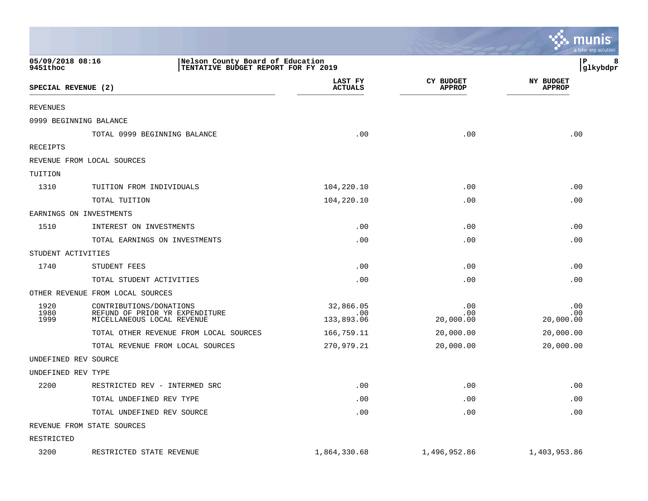|                              |                                                                                         |                                                                         |                            | munis<br>a tyler erp solution     |
|------------------------------|-----------------------------------------------------------------------------------------|-------------------------------------------------------------------------|----------------------------|-----------------------------------|
| 05/09/2018 08:16<br>9451thoc |                                                                                         | Nelson County Board of Education<br>TENTATIVE BUDGET REPORT FOR FY 2019 |                            | 8<br>Р<br>glkybdpr                |
| SPECIAL REVENUE (2)          |                                                                                         | LAST FY<br><b>ACTUALS</b>                                               | CY BUDGET<br><b>APPROP</b> | <b>NY BUDGET</b><br><b>APPROP</b> |
| <b>REVENUES</b>              |                                                                                         |                                                                         |                            |                                   |
|                              | 0999 BEGINNING BALANCE                                                                  |                                                                         |                            |                                   |
|                              | TOTAL 0999 BEGINNING BALANCE                                                            | .00                                                                     | .00                        | .00                               |
| RECEIPTS                     |                                                                                         |                                                                         |                            |                                   |
|                              | REVENUE FROM LOCAL SOURCES                                                              |                                                                         |                            |                                   |
| TUITION                      |                                                                                         |                                                                         |                            |                                   |
| 1310                         | TUITION FROM INDIVIDUALS                                                                | 104,220.10                                                              | .00                        | .00                               |
|                              | TOTAL TUITION                                                                           | 104,220.10                                                              | .00                        | .00                               |
|                              | EARNINGS ON INVESTMENTS                                                                 |                                                                         |                            |                                   |
| 1510                         | INTEREST ON INVESTMENTS                                                                 | .00                                                                     | .00                        | .00                               |
|                              | TOTAL EARNINGS ON INVESTMENTS                                                           | .00                                                                     | .00                        | .00                               |
| STUDENT ACTIVITIES           |                                                                                         |                                                                         |                            |                                   |
| 1740                         | STUDENT FEES                                                                            | .00                                                                     | .00                        | .00                               |
|                              | TOTAL STUDENT ACTIVITIES                                                                | .00                                                                     | .00                        | .00                               |
|                              | OTHER REVENUE FROM LOCAL SOURCES                                                        |                                                                         |                            |                                   |
| 1920<br>1980<br>1999         | CONTRIBUTIONS/DONATIONS<br>REFUND OF PRIOR YR EXPENDITURE<br>MICELLANEOUS LOCAL REVENUE | 32,866.05<br>.00<br>133,893.06                                          | .00<br>.00<br>20,000.00    | .00<br>.00<br>20,000.00           |
|                              | TOTAL OTHER REVENUE FROM LOCAL SOURCES                                                  | 166,759.11                                                              | 20,000.00                  | 20,000.00                         |
|                              | TOTAL REVENUE FROM LOCAL SOURCES                                                        | 270,979.21                                                              | 20,000.00                  | 20,000.00                         |
|                              | UNDEFINED REV SOURCE                                                                    |                                                                         |                            |                                   |
| UNDEFINED REV TYPE           |                                                                                         |                                                                         |                            |                                   |
| 2200                         | RESTRICTED REV - INTERMED SRC                                                           | .00                                                                     | .00                        | .00                               |
|                              | TOTAL UNDEFINED REV TYPE                                                                | .00                                                                     | .00                        | .00                               |
|                              | TOTAL UNDEFINED REV SOURCE                                                              | .00                                                                     | .00                        | .00                               |
|                              | REVENUE FROM STATE SOURCES                                                              |                                                                         |                            |                                   |
| RESTRICTED                   |                                                                                         |                                                                         |                            |                                   |
| 3200                         | RESTRICTED STATE REVENUE                                                                | 1,864,330.68                                                            | 1,496,952.86               | 1,403,953.86                      |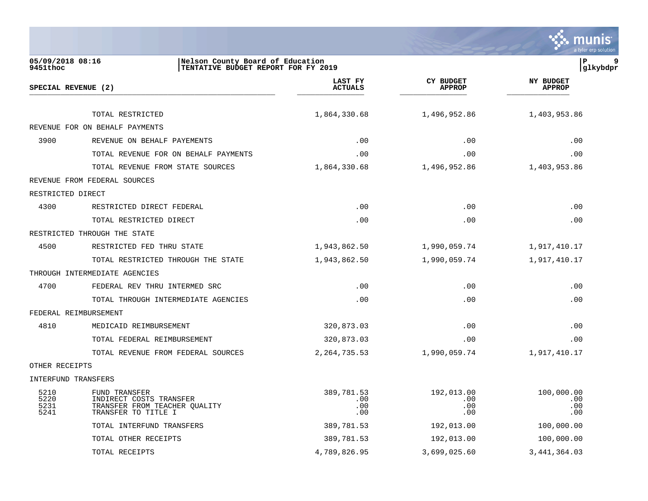

| 05/09/2018 08:16<br>9451thoc | Nelson County Board of Education<br>TENTATIVE BUDGET REPORT FOR FY 2019                          |                                 |                                   | P<br> glkybdpr                    |
|------------------------------|--------------------------------------------------------------------------------------------------|---------------------------------|-----------------------------------|-----------------------------------|
|                              | SPECIAL REVENUE (2)                                                                              | LAST FY<br><b>ACTUALS</b>       | <b>CY BUDGET</b><br><b>APPROP</b> | <b>NY BUDGET</b><br><b>APPROP</b> |
|                              | TOTAL RESTRICTED                                                                                 | 1,864,330.68                    | 1,496,952.86                      | 1,403,953.86                      |
|                              | REVENUE FOR ON BEHALF PAYMENTS                                                                   |                                 |                                   |                                   |
| 3900                         | REVENUE ON BEHALF PAYEMENTS                                                                      | .00                             | .00                               | .00                               |
|                              | TOTAL REVENUE FOR ON BEHALF PAYMENTS                                                             | .00                             | .00                               | .00                               |
|                              | TOTAL REVENUE FROM STATE SOURCES                                                                 | 1,864,330.68                    | 1,496,952.86                      | 1,403,953.86                      |
|                              | REVENUE FROM FEDERAL SOURCES                                                                     |                                 |                                   |                                   |
| RESTRICTED DIRECT            |                                                                                                  |                                 |                                   |                                   |
| 4300                         | RESTRICTED DIRECT FEDERAL                                                                        | .00                             | .00                               | .00                               |
|                              | TOTAL RESTRICTED DIRECT                                                                          | .00                             | .00                               | .00                               |
|                              | RESTRICTED THROUGH THE STATE                                                                     |                                 |                                   |                                   |
| 4500                         | RESTRICTED FED THRU STATE                                                                        | 1,943,862.50                    | 1,990,059.74                      | 1,917,410.17                      |
|                              | TOTAL RESTRICTED THROUGH THE STATE                                                               | 1,943,862.50                    | 1,990,059.74                      | 1,917,410.17                      |
|                              | THROUGH INTERMEDIATE AGENCIES                                                                    |                                 |                                   |                                   |
| 4700                         | FEDERAL REV THRU INTERMED SRC                                                                    | .00                             | .00                               | .00                               |
|                              | TOTAL THROUGH INTERMEDIATE AGENCIES                                                              | .00                             | .00                               | .00                               |
|                              | FEDERAL REIMBURSEMENT                                                                            |                                 |                                   |                                   |
| 4810                         | MEDICAID REIMBURSEMENT                                                                           | 320,873.03                      | .00                               | .00                               |
|                              | TOTAL FEDERAL REIMBURSEMENT                                                                      | 320,873.03                      | .00                               | .00                               |
|                              | TOTAL REVENUE FROM FEDERAL SOURCES                                                               | 2, 264, 735.53                  | 1,990,059.74                      | 1,917,410.17                      |
| OTHER RECEIPTS               |                                                                                                  |                                 |                                   |                                   |
|                              | INTERFUND TRANSFERS                                                                              |                                 |                                   |                                   |
| 5210<br>5220<br>5231<br>5241 | FUND TRANSFER<br>INDIRECT COSTS TRANSFER<br>TRANSFER FROM TEACHER QUALITY<br>TRANSFER TO TITLE I | 389,781.53<br>.00<br>.00<br>.00 | 192,013.00<br>.00<br>.00<br>.00   | 100,000.00<br>.00<br>.00<br>.00   |
|                              | TOTAL INTERFUND TRANSFERS                                                                        | 389,781.53                      | 192,013.00                        | 100,000.00                        |
|                              | TOTAL OTHER RECEIPTS                                                                             | 389,781.53                      | 192,013.00                        | 100,000.00                        |
|                              | TOTAL RECEIPTS                                                                                   | 4,789,826.95                    | 3,699,025.60                      | 3, 441, 364.03                    |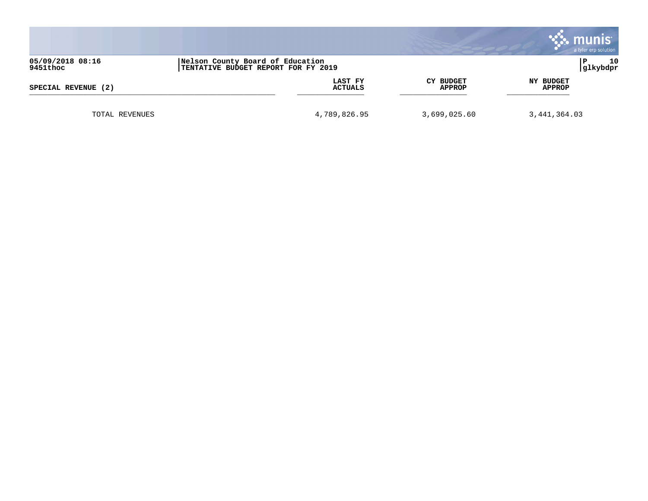|                     |                                     |                  | munis:<br>a tyler erp solution |
|---------------------|-------------------------------------|------------------|--------------------------------|
| 05/09/2018 08:16    | Nelson County Board of Education    |                  | 10                             |
| 9451thoc            | TENTATIVE BUDGET REPORT FOR FY 2019 |                  | glkybdpr                       |
| SPECIAL REVENUE (2) | LAST FY                             | <b>CY BUDGET</b> | NY BUDGET                      |
|                     | <b>ACTUALS</b>                      | <b>APPROP</b>    | APPROP                         |
| TOTAL REVENUES      | 4,789,826.95                        | 3,699,025.60     | 3,441,364.03                   |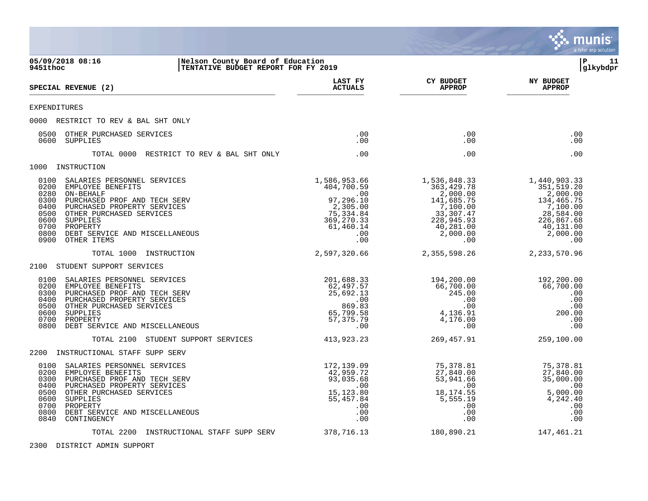

2300 DISTRICT ADMIN SUPPORT

. munis a tyler erp solutior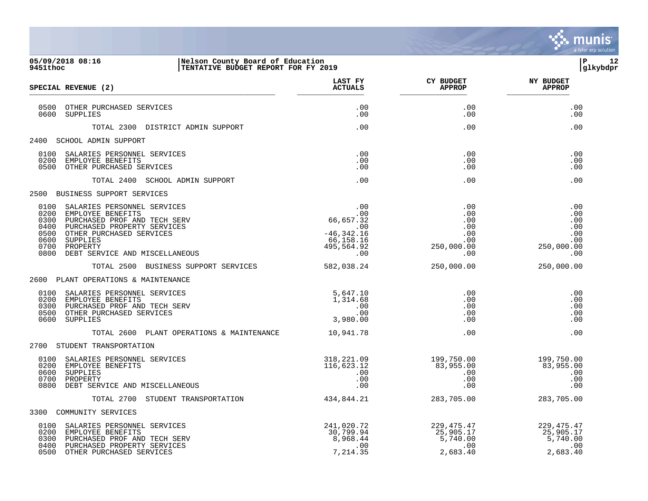

### **05/09/2018 08:16 |Nelson County Board of Education |P 12 9451thoc |TENTATIVE BUDGET REPORT FOR FY 2019 |glkybdpr**

| SPECIAL REVENUE (2)                                                                                                                                                                                                                                                                                                                                                      | LAST FY<br><b>ACTUALS</b>                                                                 | <b>CY BUDGET</b><br><b>APPROP</b>                                                                   | <b>NY BUDGET</b><br><b>APPROP</b>                           |
|--------------------------------------------------------------------------------------------------------------------------------------------------------------------------------------------------------------------------------------------------------------------------------------------------------------------------------------------------------------------------|-------------------------------------------------------------------------------------------|-----------------------------------------------------------------------------------------------------|-------------------------------------------------------------|
| 0500 OTHER PURCHASED SERVICES<br>0600 SUPPLIES                                                                                                                                                                                                                                                                                                                           | .00<br>.00                                                                                | .00<br>.00                                                                                          | .00<br>.00                                                  |
| TOTAL 2300 DISTRICT ADMIN SUPPORT                                                                                                                                                                                                                                                                                                                                        | .00                                                                                       | .00                                                                                                 | .00                                                         |
| 2400 SCHOOL ADMIN SUPPORT                                                                                                                                                                                                                                                                                                                                                |                                                                                           |                                                                                                     |                                                             |
| 0100<br>SALARIES PERSONNEL SERVICES<br>0200<br>EMPLOYEE BENEFITS<br>0500<br>OTHER PURCHASED SERVICES                                                                                                                                                                                                                                                                     | .00<br>.00<br>.00                                                                         | .00<br>.00<br>.00                                                                                   | .00<br>.00<br>.00                                           |
| TOTAL 2400 SCHOOL ADMIN SUPPORT                                                                                                                                                                                                                                                                                                                                          | .00                                                                                       | .00                                                                                                 | .00                                                         |
| 2500 BUSINESS SUPPORT SERVICES                                                                                                                                                                                                                                                                                                                                           |                                                                                           |                                                                                                     |                                                             |
| $\begin{array}{r} .00 \\ 66,657.32 \\ .00 \\ -46,342.16 \\ 66,158.16 \\ 495,564.97 \end{array}$<br>0100<br>SALARIES PERSONNEL SERVICES<br>0200<br>EMPLOYEE BENEFITS<br>0300<br>PURCHASED PROF AND TECH SERV<br>0400<br>PURCHASED PROPERTY SERVICES<br>0500<br>OTHER PURCHASED SERVICES<br>0600<br>SUPPLIES<br>0700<br>PROPERTY<br>0800<br>DEBT SERVICE AND MISCELLANEOUS | 495,504.72                                                                                | .00<br>.00<br>.00<br>$\begin{array}{c} .00\ 0.00\ .00\ 0.00\ .00\ 0.00\ .00\ .00\ .00\ \end{array}$ | .00<br>.00<br>.00<br>.00<br>$250,000.00$<br>0.000.00<br>000 |
| TOTAL 2500 BUSINESS SUPPORT SERVICES                                                                                                                                                                                                                                                                                                                                     | 582,038.24                                                                                | 250,000.00                                                                                          | 250,000.00                                                  |
| 2600 PLANT OPERATIONS & MAINTENANCE                                                                                                                                                                                                                                                                                                                                      |                                                                                           |                                                                                                     |                                                             |
| 0100<br>SALARIES PERSONNEL SERVICES<br>0200<br>EMPLOYEE BENEFITS<br>PURCHASED PROF AND TECH SERV<br>0300<br>0500<br>OTHER PURCHASED SERVICES<br>0600<br>SUPPLIES                                                                                                                                                                                                         | 5,647.10<br>1,314.68<br>$\begin{array}{c} . & 0 & 0 \\ . & 0 & 0 \end{array}$<br>3,980.00 | .00<br>$\,$ .00<br>.00<br>.00<br>$.00 \,$                                                           | .00<br>.00<br>.00<br>.00<br>.00                             |
| TOTAL 2600 PLANT OPERATIONS & MAINTENANCE 10.941.78                                                                                                                                                                                                                                                                                                                      |                                                                                           | .00                                                                                                 | .00                                                         |
| 2700 STUDENT TRANSPORTATION                                                                                                                                                                                                                                                                                                                                              |                                                                                           |                                                                                                     |                                                             |
| 0100<br>SALARIES PERSONNEL SERVICES<br>0200<br>EMPLOYEE BENEFITS<br>SUPPLIES<br>0600<br>0700<br>PROPERTY<br>0800<br>DEBT SERVICE AND MISCELLANEOUS                                                                                                                                                                                                                       | 318,221.09<br>116,623.12<br>.00<br>.00<br>.00                                             | 199,750.00<br>83,955.00<br>.00<br>.00.                                                              | 199,750.00<br>83,955.00<br>.00<br>.00<br>.00                |
| TOTAL 2700 STUDENT TRANSPORTATION                                                                                                                                                                                                                                                                                                                                        | 434,844.21                                                                                | 283,705.00                                                                                          | 283,705.00                                                  |
| 3300 COMMUNITY SERVICES                                                                                                                                                                                                                                                                                                                                                  |                                                                                           |                                                                                                     |                                                             |
| 0100<br>SALARIES PERSONNEL SERVICES<br>0200<br>EMPLOYEE BENEFITS<br>0300<br>PURCHASED PROF AND TECH SERV<br>PURCHASED PROPERTY SERVICES<br>0400<br>0500<br>OTHER PURCHASED SERVICES                                                                                                                                                                                      | $-41,020.72$<br>30,799.94<br>968.44                                                       | $229,475.47$<br>$25,905.17$<br>$5,740.00$<br>00                                                     | 229, 475. 47<br>25,905.17<br>5,740.00<br>.00<br>2,683.40    |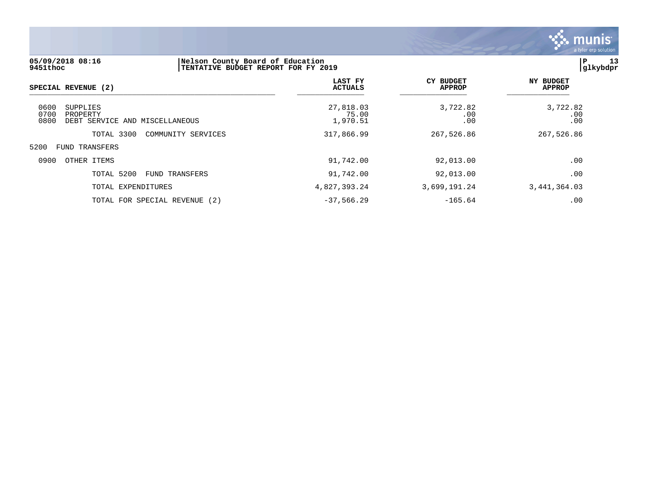

# **05/09/2018 08:16 |Nelson County Board of Education |P 13 9451thoc |TENTATIVE BUDGET REPORT FOR FY 2019 |glkybdpr LAST FY CY BUDGET NY BUDGET SPECIAL REVENUE (2)** \_\_\_\_\_\_\_\_\_\_\_\_\_\_\_\_\_\_\_\_\_\_\_\_\_\_\_\_\_\_\_\_\_\_\_\_\_\_\_\_\_\_\_\_\_\_\_\_\_\_\_\_\_\_\_ \_\_\_\_\_\_\_\_\_\_\_\_\_\_\_ \_\_\_\_\_\_\_\_\_\_\_\_\_\_\_ \_\_\_\_\_\_\_\_\_\_\_\_\_\_ 0600 SUPPLIES 27,818.03 3,722.82 3,722.82 0700 PROPERTY 75.00 .00 .00 0800 DEBT SERVICE AND MISCELLANEOUS TOTAL 3300 COMMUNITY SERVICES 317,866.99 267,526.86 267,526.86 5200 FUND TRANSFERS 0900 OTHER ITEMS 91,742.00 92,013.00 .00 TOTAL 5200 FUND TRANSFERS 91,742.00 92,013.00 .00 TOTAL EXPENDITURES 4,827,393.24 3,699,191.24 3,441,364.03

TOTAL FOR SPECIAL REVENUE (2)  $-37,566.29$   $-165.64$  .00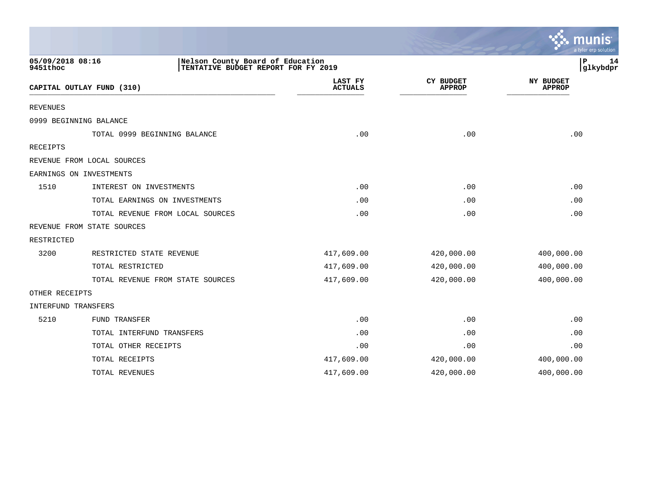|                              |                                                                         |                           |                                   | munis<br>a tyler erp solution |
|------------------------------|-------------------------------------------------------------------------|---------------------------|-----------------------------------|-------------------------------|
| 05/09/2018 08:16<br>9451thoc | Nelson County Board of Education<br>TENTATIVE BUDGET REPORT FOR FY 2019 |                           |                                   | 14<br>Р<br>glkybdpr           |
|                              | CAPITAL OUTLAY FUND (310)                                               | LAST FY<br><b>ACTUALS</b> | <b>CY BUDGET</b><br><b>APPROP</b> | NY BUDGET<br><b>APPROP</b>    |
| <b>REVENUES</b>              |                                                                         |                           |                                   |                               |
|                              | 0999 BEGINNING BALANCE                                                  |                           |                                   |                               |
|                              | TOTAL 0999 BEGINNING BALANCE                                            | .00                       | .00                               | .00                           |
| RECEIPTS                     |                                                                         |                           |                                   |                               |
|                              | REVENUE FROM LOCAL SOURCES                                              |                           |                                   |                               |
|                              | EARNINGS ON INVESTMENTS                                                 |                           |                                   |                               |
| 1510                         | INTEREST ON INVESTMENTS                                                 | .00                       | .00                               | .00                           |
|                              | TOTAL EARNINGS ON INVESTMENTS                                           | .00                       | .00                               | .00                           |
|                              | TOTAL REVENUE FROM LOCAL SOURCES                                        | .00                       | .00                               | .00                           |
|                              | REVENUE FROM STATE SOURCES                                              |                           |                                   |                               |
| RESTRICTED                   |                                                                         |                           |                                   |                               |
| 3200                         | RESTRICTED STATE REVENUE                                                | 417,609.00                | 420,000.00                        | 400,000.00                    |
|                              | TOTAL RESTRICTED                                                        | 417,609.00                | 420,000.00                        | 400,000.00                    |
|                              | TOTAL REVENUE FROM STATE SOURCES                                        | 417,609.00                | 420,000.00                        | 400,000.00                    |
| OTHER RECEIPTS               |                                                                         |                           |                                   |                               |
| INTERFUND TRANSFERS          |                                                                         |                           |                                   |                               |
| 5210                         | FUND TRANSFER                                                           | .00                       | .00                               | .00                           |
|                              | TOTAL INTERFUND TRANSFERS                                               | .00                       | .00                               | .00                           |
|                              | TOTAL OTHER RECEIPTS                                                    | .00                       | .00                               | .00                           |
|                              | TOTAL RECEIPTS                                                          | 417,609.00                | 420,000.00                        | 400,000.00                    |
|                              | TOTAL REVENUES                                                          | 417,609.00                | 420,000.00                        | 400,000.00                    |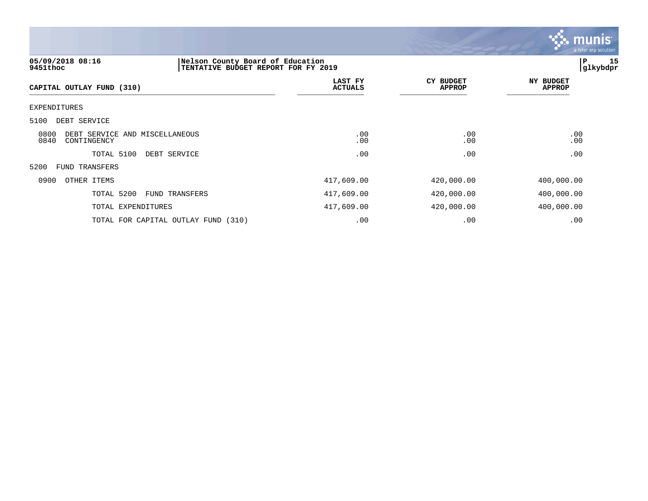

| 05/09/2018 08:16<br>9451thoc                                  | Nelson County Board of Education<br>TENTATIVE BUDGET REPORT FOR FY 2019 |                           |                            |                                   | 15<br>P<br> glkybdpr |
|---------------------------------------------------------------|-------------------------------------------------------------------------|---------------------------|----------------------------|-----------------------------------|----------------------|
| CAPITAL OUTLAY FUND (310)                                     |                                                                         | LAST FY<br><b>ACTUALS</b> | CY BUDGET<br><b>APPROP</b> | <b>NY BUDGET</b><br><b>APPROP</b> |                      |
| EXPENDITURES                                                  |                                                                         |                           |                            |                                   |                      |
| 5100<br>DEBT SERVICE                                          |                                                                         |                           |                            |                                   |                      |
| 0800<br>DEBT SERVICE AND MISCELLANEOUS<br>0840<br>CONTINGENCY |                                                                         | .00<br>.00                | .00<br>.00                 | .00<br>.00                        |                      |
| TOTAL 5100<br>DEBT SERVICE                                    |                                                                         | .00                       | .00                        | .00                               |                      |
| 5200<br>FUND TRANSFERS                                        |                                                                         |                           |                            |                                   |                      |
| 0900<br>OTHER ITEMS                                           |                                                                         | 417,609.00                | 420,000.00                 | 400,000.00                        |                      |
| TOTAL 5200<br>FUND TRANSFERS                                  |                                                                         | 417,609.00                | 420,000.00                 | 400,000.00                        |                      |
| TOTAL EXPENDITURES                                            |                                                                         | 417,609.00                | 420,000.00                 | 400,000.00                        |                      |
| TOTAL FOR CAPITAL OUTLAY FUND (310)                           |                                                                         | .00                       | .00                        | .00                               |                      |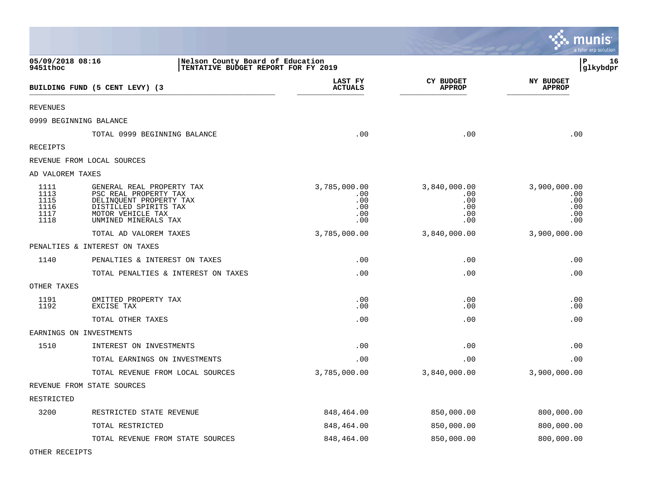|                                              |                                                                                                                                                     |                                                 |                                                 | <b>RA</b> munis<br>a tyler erp solution         |
|----------------------------------------------|-----------------------------------------------------------------------------------------------------------------------------------------------------|-------------------------------------------------|-------------------------------------------------|-------------------------------------------------|
| 05/09/2018 08:16<br>9451thoc                 | Nelson County Board of Education<br>TENTATIVE BUDGET REPORT FOR FY 2019                                                                             |                                                 |                                                 | ΙP<br>16<br>glkybdpr                            |
|                                              | BUILDING FUND (5 CENT LEVY) (3                                                                                                                      | LAST FY<br><b>ACTUALS</b>                       | <b>CY BUDGET</b><br><b>APPROP</b>               | <b>NY BUDGET</b><br><b>APPROP</b>               |
| <b>REVENUES</b>                              |                                                                                                                                                     |                                                 |                                                 |                                                 |
|                                              | 0999 BEGINNING BALANCE                                                                                                                              |                                                 |                                                 |                                                 |
|                                              | TOTAL 0999 BEGINNING BALANCE                                                                                                                        | .00                                             | .00                                             | .00                                             |
| RECEIPTS                                     |                                                                                                                                                     |                                                 |                                                 |                                                 |
|                                              | REVENUE FROM LOCAL SOURCES                                                                                                                          |                                                 |                                                 |                                                 |
| AD VALOREM TAXES                             |                                                                                                                                                     |                                                 |                                                 |                                                 |
| 1111<br>1113<br>1115<br>1116<br>1117<br>1118 | GENERAL REAL PROPERTY TAX<br>PSC REAL PROPERTY TAX<br>DELINQUENT PROPERTY TAX<br>DISTILLED SPIRITS TAX<br>MOTOR VEHICLE TAX<br>UNMINED MINERALS TAX | 3,785,000.00<br>.00<br>.00<br>.00<br>.00<br>.00 | 3,840,000.00<br>.00<br>.00<br>.00<br>.00<br>.00 | 3,900,000.00<br>.00<br>.00<br>.00<br>.00<br>.00 |
|                                              | TOTAL AD VALOREM TAXES                                                                                                                              | 3,785,000.00                                    | 3,840,000.00                                    | 3,900,000.00                                    |
|                                              | PENALTIES & INTEREST ON TAXES                                                                                                                       |                                                 |                                                 |                                                 |
| 1140                                         | PENALTIES & INTEREST ON TAXES                                                                                                                       | .00                                             | .00                                             | .00                                             |
|                                              | TOTAL PENALTIES & INTEREST ON TAXES                                                                                                                 | .00                                             | .00                                             | .00                                             |
| OTHER TAXES                                  |                                                                                                                                                     |                                                 |                                                 |                                                 |
| 1191<br>1192                                 | OMITTED PROPERTY TAX<br>EXCISE TAX                                                                                                                  | .00<br>.00                                      | .00<br>.00                                      | .00<br>.00                                      |
|                                              | TOTAL OTHER TAXES                                                                                                                                   | .00                                             | .00                                             | .00                                             |
|                                              | EARNINGS ON INVESTMENTS                                                                                                                             |                                                 |                                                 |                                                 |
| 1510                                         | INTEREST ON INVESTMENTS                                                                                                                             | .00                                             | .00                                             | .00                                             |
|                                              | TOTAL EARNINGS ON INVESTMENTS                                                                                                                       | .00                                             | .00                                             | .00                                             |
|                                              | TOTAL REVENUE FROM LOCAL SOURCES                                                                                                                    | 3,785,000.00                                    | 3,840,000.00                                    | 3,900,000.00                                    |
|                                              | REVENUE FROM STATE SOURCES                                                                                                                          |                                                 |                                                 |                                                 |
| RESTRICTED                                   |                                                                                                                                                     |                                                 |                                                 |                                                 |
| 3200                                         | RESTRICTED STATE REVENUE                                                                                                                            | 848,464.00                                      | 850,000.00                                      | 800,000.00                                      |
|                                              | TOTAL RESTRICTED                                                                                                                                    | 848,464.00                                      | 850,000.00                                      | 800,000.00                                      |
|                                              | TOTAL REVENUE FROM STATE SOURCES                                                                                                                    | 848,464.00                                      | 850,000.00                                      | 800,000.00                                      |

 $\mathcal{L}$ 

 $\overline{\textbf{is}}$ 

OTHER RECEIPTS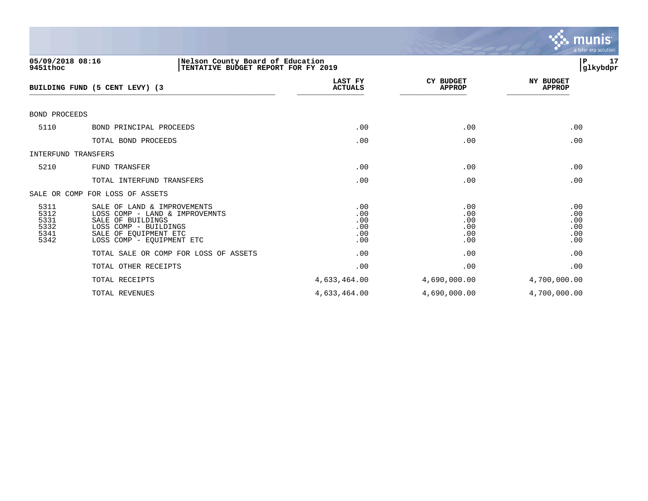

| 05/09/2018 08:16<br>9451thoc                 | Nelson County Board of Education<br>TENTATIVE BUDGET REPORT FOR FY 2019                                                                                           |                                        |                                        | 17<br>∣P<br> glkybdpr                  |
|----------------------------------------------|-------------------------------------------------------------------------------------------------------------------------------------------------------------------|----------------------------------------|----------------------------------------|----------------------------------------|
|                                              | BUILDING FUND (5 CENT LEVY) (3                                                                                                                                    | LAST FY<br><b>ACTUALS</b>              | <b>CY BUDGET</b><br><b>APPROP</b>      | <b>NY BUDGET</b><br><b>APPROP</b>      |
| <b>BOND PROCEEDS</b>                         |                                                                                                                                                                   |                                        |                                        |                                        |
| 5110                                         | BOND PRINCIPAL PROCEEDS                                                                                                                                           | .00                                    | .00                                    | .00                                    |
|                                              | TOTAL BOND PROCEEDS                                                                                                                                               | .00                                    | .00                                    | .00                                    |
| <b>INTERFUND TRANSFERS</b>                   |                                                                                                                                                                   |                                        |                                        |                                        |
| 5210                                         | FUND TRANSFER                                                                                                                                                     | .00                                    | .00                                    | .00                                    |
|                                              | TOTAL INTERFUND TRANSFERS                                                                                                                                         | .00                                    | .00                                    | .00                                    |
|                                              | SALE OR COMP FOR LOSS OF ASSETS                                                                                                                                   |                                        |                                        |                                        |
| 5311<br>5312<br>5331<br>5332<br>5341<br>5342 | SALE OF LAND & IMPROVEMENTS<br>LOSS COMP - LAND & IMPROVEMNTS<br>SALE OF BUILDINGS<br>LOSS COMP - BUILDINGS<br>SALE OF EOUIPMENT ETC<br>LOSS COMP - EQUIPMENT ETC | .00<br>.00<br>.00<br>.00<br>.00<br>.00 | .00<br>.00<br>.00<br>.00<br>.00<br>.00 | .00<br>.00<br>.00<br>.00<br>.00<br>.00 |
|                                              | TOTAL SALE OR COMP FOR LOSS OF ASSETS                                                                                                                             | .00                                    | .00                                    | .00                                    |
|                                              | TOTAL OTHER RECEIPTS                                                                                                                                              | .00                                    | .00                                    | .00                                    |
|                                              | TOTAL RECEIPTS                                                                                                                                                    | 4,633,464.00                           | 4,690,000.00                           | 4,700,000.00                           |
|                                              | TOTAL REVENUES                                                                                                                                                    | 4,633,464.00                           | 4,690,000.00                           | 4,700,000.00                           |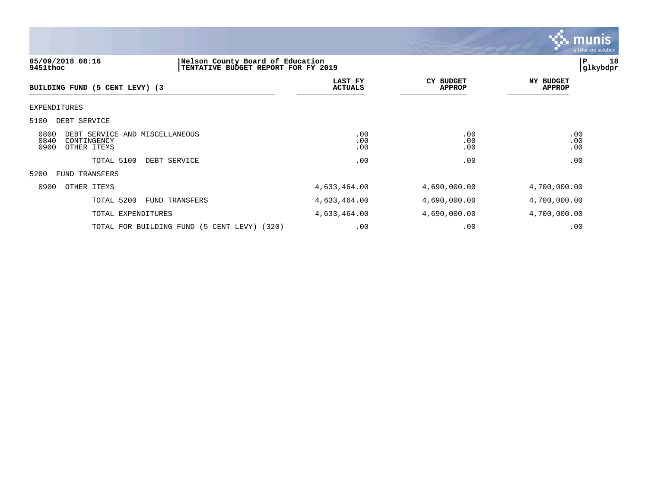

## **05/09/2018 08:16 |Nelson County Board of Education |P 18 9451thoc |TENTATIVE BUDGET REPORT FOR FY 2019 |glkybdpr**

| BUILDING FUND (5 CENT LEVY) (3                                                       | LAST FY<br><b>ACTUALS</b> | CY BUDGET<br><b>APPROP</b> | NY BUDGET<br><b>APPROP</b> |
|--------------------------------------------------------------------------------------|---------------------------|----------------------------|----------------------------|
| EXPENDITURES                                                                         |                           |                            |                            |
| 5100<br>DEBT SERVICE                                                                 |                           |                            |                            |
| 0800<br>DEBT SERVICE AND MISCELLANEOUS<br>0840<br>CONTINGENCY<br>0900<br>OTHER ITEMS | .00<br>.00<br>.00         | .00<br>.00<br>.00          | .00<br>.00<br>.00          |
| TOTAL 5100<br>DEBT SERVICE                                                           | .00                       | .00                        | .00                        |
| 5200<br><b>FUND TRANSFERS</b>                                                        |                           |                            |                            |
| 0900<br>OTHER ITEMS                                                                  | 4,633,464.00              | 4,690,000.00               | 4,700,000.00               |
| TOTAL 5200<br><b>FUND TRANSFERS</b>                                                  | 4,633,464.00              | 4,690,000.00               | 4,700,000.00               |
| TOTAL EXPENDITURES                                                                   | 4,633,464.00              | 4,690,000.00               | 4,700,000.00               |
| TOTAL FOR BUILDING FUND (5 CENT LEVY) (320)                                          | .00                       | .00                        | .00                        |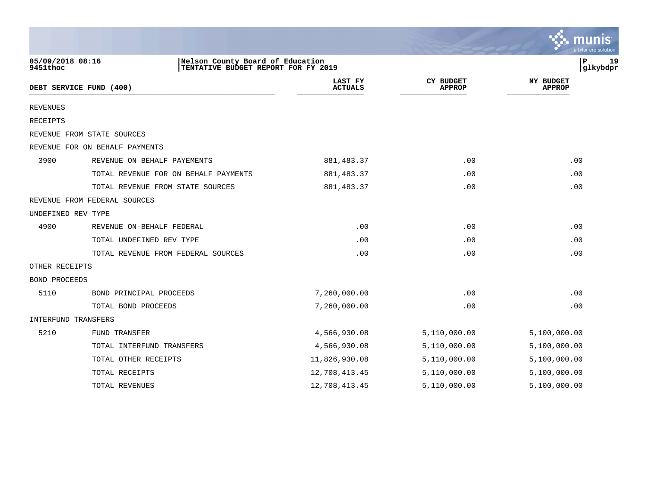|                              |                                                                         |                           |                                   | munis<br>a tyler erp solution     |
|------------------------------|-------------------------------------------------------------------------|---------------------------|-----------------------------------|-----------------------------------|
| 05/09/2018 08:16<br>9451thoc | Nelson County Board of Education<br>TENTATIVE BUDGET REPORT FOR FY 2019 |                           |                                   | 19<br>Р<br>glkybdpr               |
|                              | DEBT SERVICE FUND (400)                                                 | LAST FY<br><b>ACTUALS</b> | <b>CY BUDGET</b><br><b>APPROP</b> | <b>NY BUDGET</b><br><b>APPROP</b> |
| <b>REVENUES</b>              |                                                                         |                           |                                   |                                   |
| RECEIPTS                     |                                                                         |                           |                                   |                                   |
|                              | REVENUE FROM STATE SOURCES                                              |                           |                                   |                                   |
|                              | REVENUE FOR ON BEHALF PAYMENTS                                          |                           |                                   |                                   |
| 3900                         | REVENUE ON BEHALF PAYEMENTS                                             | 881, 483.37               | .00                               | .00                               |
|                              | TOTAL REVENUE FOR ON BEHALF PAYMENTS                                    | 881, 483.37               | .00                               | .00                               |
|                              | TOTAL REVENUE FROM STATE SOURCES                                        | 881, 483.37               | .00                               | .00                               |
|                              | REVENUE FROM FEDERAL SOURCES                                            |                           |                                   |                                   |
| UNDEFINED REV TYPE           |                                                                         |                           |                                   |                                   |
| 4900                         | REVENUE ON-BEHALF FEDERAL                                               | .00                       | .00                               | .00                               |
|                              | TOTAL UNDEFINED REV TYPE                                                | .00                       | .00                               | .00                               |
|                              | TOTAL REVENUE FROM FEDERAL SOURCES                                      | .00                       | .00                               | .00                               |
| OTHER RECEIPTS               |                                                                         |                           |                                   |                                   |
| <b>BOND PROCEEDS</b>         |                                                                         |                           |                                   |                                   |
| 5110                         | BOND PRINCIPAL PROCEEDS                                                 | 7,260,000.00              | .00                               | .00                               |
|                              | TOTAL BOND PROCEEDS                                                     | 7,260,000.00              | .00                               | .00                               |
| <b>INTERFUND TRANSFERS</b>   |                                                                         |                           |                                   |                                   |
| 5210                         | FUND TRANSFER                                                           | 4,566,930.08              | 5,110,000.00                      | 5,100,000.00                      |
|                              | TOTAL INTERFUND TRANSFERS                                               | 4,566,930.08              | 5,110,000.00                      | 5,100,000.00                      |
|                              | TOTAL OTHER RECEIPTS                                                    | 11,826,930.08             | 5,110,000.00                      | 5,100,000.00                      |
|                              | TOTAL RECEIPTS                                                          | 12,708,413.45             | 5,110,000.00                      | 5,100,000.00                      |
|                              | TOTAL REVENUES                                                          | 12,708,413.45             | 5,110,000.00                      | 5,100,000.00                      |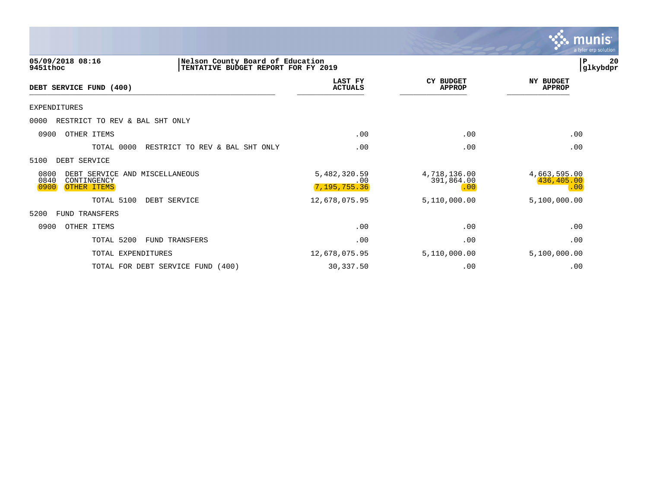|                                                                                                         |                                     |                                   | munis<br>a tyler erp solution     |
|---------------------------------------------------------------------------------------------------------|-------------------------------------|-----------------------------------|-----------------------------------|
| 05/09/2018 08:16<br>Nelson County Board of Education<br>9451thoc<br>TENTATIVE BUDGET REPORT FOR FY 2019 |                                     |                                   | 20<br>P<br>glkybdpr               |
| DEBT SERVICE FUND (400)                                                                                 | LAST FY<br><b>ACTUALS</b>           | <b>CY BUDGET</b><br><b>APPROP</b> | <b>NY BUDGET</b><br><b>APPROP</b> |
| EXPENDITURES                                                                                            |                                     |                                   |                                   |
| 0000<br>RESTRICT TO REV & BAL SHT ONLY                                                                  |                                     |                                   |                                   |
| OTHER ITEMS<br>0900                                                                                     | .00                                 | .00                               | .00                               |
| TOTAL 0000<br>RESTRICT TO REV & BAL SHT ONLY                                                            | .00                                 | .00                               | .00                               |
| 5100<br>DEBT SERVICE                                                                                    |                                     |                                   |                                   |
| 0800<br>DEBT SERVICE AND MISCELLANEOUS<br>0840<br>CONTINGENCY<br>0900<br>OTHER ITEMS                    | 5,482,320.59<br>.00<br>7,195,755.36 | 4,718,136.00<br>391,864.00<br>.00 | 4,663,595.00<br>436,405.00<br>.00 |
| TOTAL 5100<br>DEBT SERVICE                                                                              | 12,678,075.95                       | 5,110,000.00                      | 5,100,000.00                      |
| 5200<br>FUND TRANSFERS                                                                                  |                                     |                                   |                                   |
| 0900<br>OTHER ITEMS                                                                                     | .00                                 | .00                               | .00                               |
| TOTAL 5200<br><b>FUND TRANSFERS</b>                                                                     | .00                                 | .00                               | .00                               |
| TOTAL EXPENDITURES                                                                                      | 12,678,075.95                       | 5,110,000.00                      | 5,100,000.00                      |
| (400)<br>TOTAL FOR DEBT SERVICE FUND                                                                    | 30,337.50                           | .00                               | .00                               |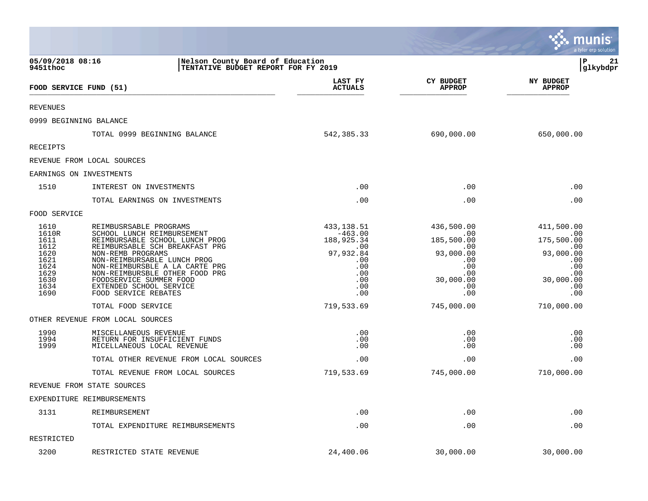|                                                                                       |                                                                                                                                                                                                                                                                                                                                |                                                                                                     |                                                                                                          | munis<br>a tyler erp solution                                                                       |
|---------------------------------------------------------------------------------------|--------------------------------------------------------------------------------------------------------------------------------------------------------------------------------------------------------------------------------------------------------------------------------------------------------------------------------|-----------------------------------------------------------------------------------------------------|----------------------------------------------------------------------------------------------------------|-----------------------------------------------------------------------------------------------------|
| 05/09/2018 08:16<br>9451thoc                                                          | Nelson County Board of Education<br>TENTATIVE BUDGET REPORT FOR FY 2019                                                                                                                                                                                                                                                        |                                                                                                     |                                                                                                          | l P<br>21<br> glkybdpr                                                                              |
|                                                                                       | FOOD SERVICE FUND (51)                                                                                                                                                                                                                                                                                                         | LAST FY<br><b>ACTUALS</b>                                                                           | <b>CY BUDGET</b><br><b>APPROP</b>                                                                        | <b>NY BUDGET</b><br><b>APPROP</b>                                                                   |
| <b>REVENUES</b>                                                                       |                                                                                                                                                                                                                                                                                                                                |                                                                                                     |                                                                                                          |                                                                                                     |
|                                                                                       | 0999 BEGINNING BALANCE                                                                                                                                                                                                                                                                                                         |                                                                                                     |                                                                                                          |                                                                                                     |
|                                                                                       | TOTAL 0999 BEGINNING BALANCE                                                                                                                                                                                                                                                                                                   | 542,385.33                                                                                          | 690,000.00                                                                                               | 650,000.00                                                                                          |
| <b>RECEIPTS</b>                                                                       |                                                                                                                                                                                                                                                                                                                                |                                                                                                     |                                                                                                          |                                                                                                     |
|                                                                                       | REVENUE FROM LOCAL SOURCES                                                                                                                                                                                                                                                                                                     |                                                                                                     |                                                                                                          |                                                                                                     |
|                                                                                       | EARNINGS ON INVESTMENTS                                                                                                                                                                                                                                                                                                        |                                                                                                     |                                                                                                          |                                                                                                     |
| 1510                                                                                  | INTEREST ON INVESTMENTS                                                                                                                                                                                                                                                                                                        | .00                                                                                                 | .00                                                                                                      | .00                                                                                                 |
|                                                                                       | TOTAL EARNINGS ON INVESTMENTS                                                                                                                                                                                                                                                                                                  | .00                                                                                                 | .00                                                                                                      | .00                                                                                                 |
| FOOD SERVICE                                                                          |                                                                                                                                                                                                                                                                                                                                |                                                                                                     |                                                                                                          |                                                                                                     |
| 1610<br>1610R<br>1611<br>1612<br>1620<br>1621<br>1624<br>1629<br>1630<br>1634<br>1690 | REIMBUSRSABLE PROGRAMS<br>SCHOOL LUNCH REIMBURSEMENT<br>REIMBURSABLE SCHOOL LUNCH PROG<br>REIMBURSABLE SCH BREAKFAST PRG<br>NON-REMB PROGRAMS<br>NON-REIMBURSABLE LUNCH PROG<br>NON-REIMBURSBLE A LA CARTE PRG<br>NON-REIMBURSBLE OTHER FOOD PRG<br>FOODSERVICE SUMMER FOOD<br>EXTENDED SCHOOL SERVICE<br>FOOD SERVICE REBATES | 433,138.51<br>$-463.00$<br>188,925.34<br>.00<br>97,932.84<br>.00<br>.00<br>.00<br>.00<br>.00<br>.00 | 436,500.00<br>.00<br>185,500.00<br>$.00 \,$<br>93,000.00<br>.00<br>.00<br>.00<br>30,000.00<br>.00<br>.00 | 411,500.00<br>.00<br>175,500.00<br>.00<br>93,000.00<br>.00<br>.00<br>.00<br>30,000.00<br>.00<br>.00 |
|                                                                                       | TOTAL FOOD SERVICE                                                                                                                                                                                                                                                                                                             | 719,533.69                                                                                          | 745,000.00                                                                                               | 710,000.00                                                                                          |
|                                                                                       | OTHER REVENUE FROM LOCAL SOURCES                                                                                                                                                                                                                                                                                               |                                                                                                     |                                                                                                          |                                                                                                     |
| 1990<br>1994<br>1999                                                                  | MISCELLANEOUS REVENUE<br>RETURN FOR INSUFFICIENT FUNDS<br>MICELLANEOUS LOCAL REVENUE                                                                                                                                                                                                                                           | .00<br>.00<br>.00                                                                                   | .00<br>.00<br>.00                                                                                        | .00<br>.00<br>.00                                                                                   |
|                                                                                       | TOTAL OTHER REVENUE FROM LOCAL SOURCES                                                                                                                                                                                                                                                                                         | .00                                                                                                 | .00                                                                                                      | .00                                                                                                 |
|                                                                                       | TOTAL REVENUE FROM LOCAL SOURCES                                                                                                                                                                                                                                                                                               | 719,533.69                                                                                          | 745,000.00                                                                                               | 710,000.00                                                                                          |
|                                                                                       | REVENUE FROM STATE SOURCES                                                                                                                                                                                                                                                                                                     |                                                                                                     |                                                                                                          |                                                                                                     |
|                                                                                       | EXPENDITURE REIMBURSEMENTS                                                                                                                                                                                                                                                                                                     |                                                                                                     |                                                                                                          |                                                                                                     |
| 3131                                                                                  | REIMBURSEMENT                                                                                                                                                                                                                                                                                                                  | .00                                                                                                 | .00                                                                                                      | .00                                                                                                 |
|                                                                                       | TOTAL EXPENDITURE REIMBURSEMENTS                                                                                                                                                                                                                                                                                               | .00                                                                                                 | .00                                                                                                      | .00                                                                                                 |
| RESTRICTED                                                                            |                                                                                                                                                                                                                                                                                                                                |                                                                                                     |                                                                                                          |                                                                                                     |
| 3200                                                                                  | RESTRICTED STATE REVENUE                                                                                                                                                                                                                                                                                                       | 24,400.06                                                                                           | 30,000.00                                                                                                | 30,000.00                                                                                           |

 $\mathcal{L}$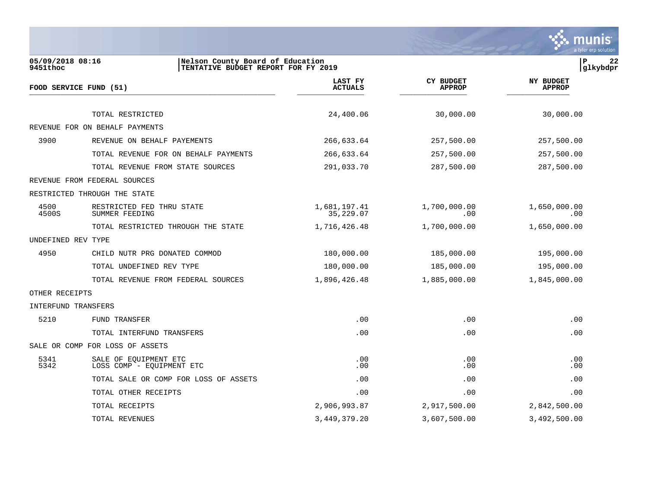

| 05/09/2018 08:16<br>9451thoc | Nelson County Board of Education<br>TENTATIVE BUDGET REPORT FOR FY 2019 |                           |                                   | $\mathbf P$<br>22<br>glkybdpr     |
|------------------------------|-------------------------------------------------------------------------|---------------------------|-----------------------------------|-----------------------------------|
|                              | FOOD SERVICE FUND (51)                                                  | LAST FY<br><b>ACTUALS</b> | <b>CY BUDGET</b><br><b>APPROP</b> | <b>NY BUDGET</b><br><b>APPROP</b> |
|                              |                                                                         |                           |                                   |                                   |
|                              | TOTAL RESTRICTED                                                        | 24,400.06                 | 30,000.00                         | 30,000.00                         |
|                              | REVENUE FOR ON BEHALF PAYMENTS                                          |                           |                                   |                                   |
| 3900                         | REVENUE ON BEHALF PAYEMENTS                                             | 266,633.64                | 257,500.00                        | 257,500.00                        |
|                              | TOTAL REVENUE FOR ON BEHALF PAYMENTS                                    | 266,633.64                | 257,500.00                        | 257,500.00                        |
|                              | TOTAL REVENUE FROM STATE SOURCES                                        | 291,033.70                | 287,500.00                        | 287,500.00                        |
|                              | REVENUE FROM FEDERAL SOURCES                                            |                           |                                   |                                   |
|                              | RESTRICTED THROUGH THE STATE                                            |                           |                                   |                                   |
| 4500<br>4500S                | RESTRICTED FED THRU STATE<br>SUMMER FEEDING                             | 1,681,197.41<br>35,229.07 | 1,700,000.00<br>$.00 \,$          | 1,650,000.00<br>.00               |
|                              | TOTAL RESTRICTED THROUGH THE STATE                                      | 1,716,426.48              | 1,700,000.00                      | 1,650,000.00                      |
| UNDEFINED REV TYPE           |                                                                         |                           |                                   |                                   |
| 4950                         | CHILD NUTR PRG DONATED COMMOD                                           | 180,000.00                | 185,000.00                        | 195,000.00                        |
|                              | TOTAL UNDEFINED REV TYPE                                                | 180,000.00                | 185,000.00                        | 195,000.00                        |
|                              | TOTAL REVENUE FROM FEDERAL SOURCES                                      | 1,896,426.48              | 1,885,000.00                      | 1,845,000.00                      |
| OTHER RECEIPTS               |                                                                         |                           |                                   |                                   |
| INTERFUND TRANSFERS          |                                                                         |                           |                                   |                                   |
| 5210                         | FUND TRANSFER                                                           | .00                       | .00                               | .00                               |
|                              | TOTAL INTERFUND TRANSFERS                                               | .00                       | .00                               | .00                               |
|                              | SALE OR COMP FOR LOSS OF ASSETS                                         |                           |                                   |                                   |
| 5341<br>5342                 | SALE OF EQUIPMENT ETC<br>LOSS COMP - EOUIPMENT ETC                      | .00<br>.00                | .00<br>.00                        | .00<br>.00                        |
|                              | TOTAL SALE OR COMP FOR LOSS OF ASSETS                                   | .00                       | .00                               | .00                               |
|                              | TOTAL OTHER RECEIPTS                                                    | .00                       | .00                               | .00                               |
|                              | TOTAL RECEIPTS                                                          | 2,906,993.87              | 2,917,500.00                      | 2,842,500.00                      |
|                              |                                                                         |                           |                                   |                                   |

TOTAL REVENUES 3,449,379.20 3,607,500.00 3,492,500.00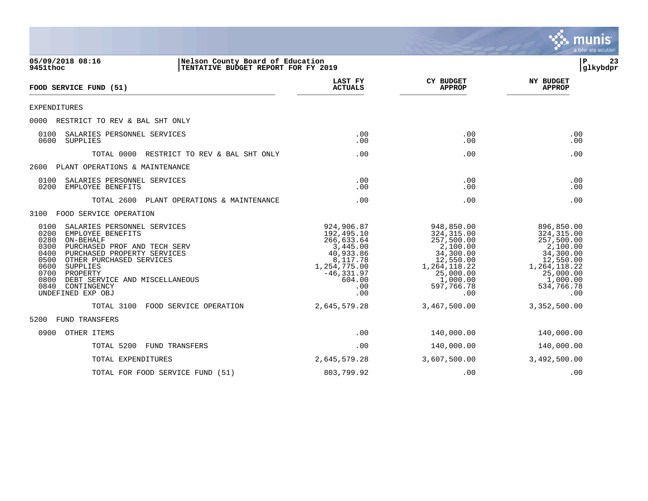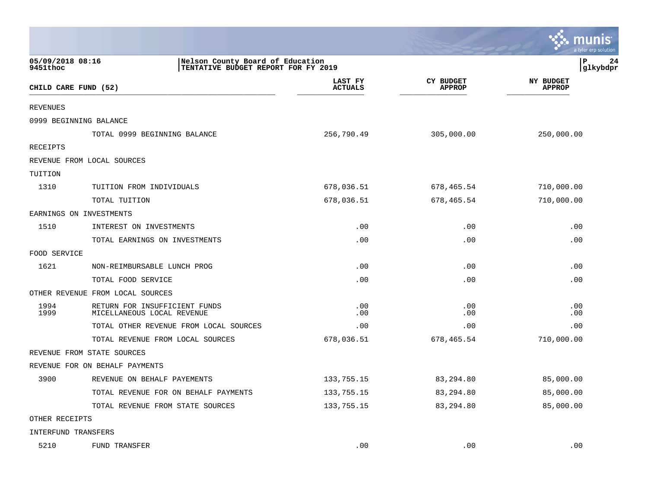|                              |                                                                         |                           |                                   | munis<br>a tyler erp solution     |
|------------------------------|-------------------------------------------------------------------------|---------------------------|-----------------------------------|-----------------------------------|
| 05/09/2018 08:16<br>9451thoc | Nelson County Board of Education<br>TENTATIVE BUDGET REPORT FOR FY 2019 |                           |                                   | l P<br>24<br>glkybdpr             |
|                              | CHILD CARE FUND (52)                                                    | LAST FY<br><b>ACTUALS</b> | <b>CY BUDGET</b><br><b>APPROP</b> | <b>NY BUDGET</b><br><b>APPROP</b> |
| <b>REVENUES</b>              |                                                                         |                           |                                   |                                   |
|                              | 0999 BEGINNING BALANCE                                                  |                           |                                   |                                   |
|                              | TOTAL 0999 BEGINNING BALANCE                                            | 256,790.49                | 305,000.00                        | 250,000.00                        |
| <b>RECEIPTS</b>              |                                                                         |                           |                                   |                                   |
|                              | REVENUE FROM LOCAL SOURCES                                              |                           |                                   |                                   |
| TUITION                      |                                                                         |                           |                                   |                                   |
| 1310                         | TUITION FROM INDIVIDUALS                                                | 678,036.51                | 678,465.54                        | 710,000.00                        |
|                              | TOTAL TUITION                                                           | 678,036.51                | 678,465.54                        | 710,000.00                        |
|                              | EARNINGS ON INVESTMENTS                                                 |                           |                                   |                                   |
| 1510                         | INTEREST ON INVESTMENTS                                                 | .00                       | .00                               | .00                               |
|                              | TOTAL EARNINGS ON INVESTMENTS                                           | .00                       | .00                               | .00                               |
| FOOD SERVICE                 |                                                                         |                           |                                   |                                   |
| 1621                         | NON-REIMBURSABLE LUNCH PROG                                             | .00                       | .00                               | .00                               |
|                              | TOTAL FOOD SERVICE                                                      | .00                       | .00                               | .00                               |
|                              | OTHER REVENUE FROM LOCAL SOURCES                                        |                           |                                   |                                   |
| 1994<br>1999                 | RETURN FOR INSUFFICIENT FUNDS<br>MICELLANEOUS LOCAL REVENUE             | .00<br>.00                | .00<br>.00                        | .00<br>.00                        |
|                              | TOTAL OTHER REVENUE FROM LOCAL SOURCES                                  | .00                       | .00                               | .00                               |
|                              | TOTAL REVENUE FROM LOCAL SOURCES                                        | 678,036.51                | 678,465.54                        | 710,000.00                        |
|                              | REVENUE FROM STATE SOURCES                                              |                           |                                   |                                   |
|                              | REVENUE FOR ON BEHALF PAYMENTS                                          |                           |                                   |                                   |
| 3900                         | REVENUE ON BEHALF PAYEMENTS                                             | 133,755.15                | 83,294.80                         | 85,000.00                         |
|                              | TOTAL REVENUE FOR ON BEHALF PAYMENTS                                    | 133,755.15                | 83,294.80                         | 85,000.00                         |
|                              | TOTAL REVENUE FROM STATE SOURCES                                        | 133,755.15                | 83,294.80                         | 85,000.00                         |
| OTHER RECEIPTS               |                                                                         |                           |                                   |                                   |
| INTERFUND TRANSFERS          |                                                                         |                           |                                   |                                   |
| 5210                         | FUND TRANSFER                                                           | .00                       | .00                               | .00                               |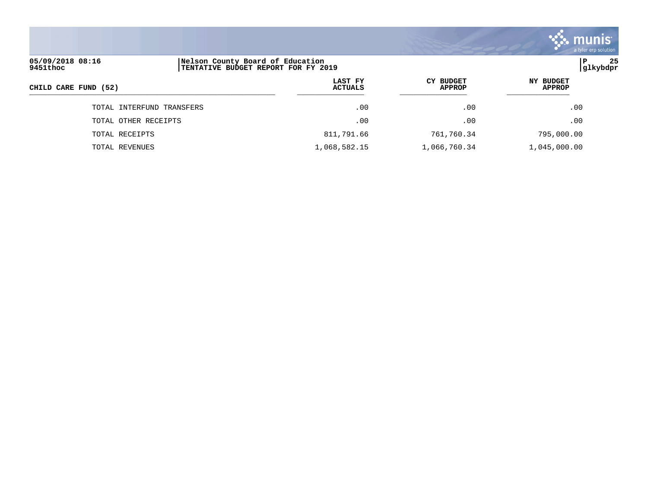|                              |                                                                         |                           |                                   | <b>munis</b><br>a tyler erp solution |
|------------------------------|-------------------------------------------------------------------------|---------------------------|-----------------------------------|--------------------------------------|
| 05/09/2018 08:16<br>9451thoc | Nelson County Board of Education<br>TENTATIVE BUDGET REPORT FOR FY 2019 |                           |                                   | 25<br>P<br> glkybdpr                 |
| CHILD CARE FUND (52)         |                                                                         | LAST FY<br><b>ACTUALS</b> | <b>CY BUDGET</b><br><b>APPROP</b> | NY BUDGET<br><b>APPROP</b>           |
|                              | TOTAL INTERFUND TRANSFERS                                               | .00                       | .00                               | .00                                  |
|                              | TOTAL OTHER RECEIPTS                                                    | .00                       | .00                               | .00                                  |
| TOTAL RECEIPTS               |                                                                         | 811,791.66                | 761,760.34                        | 795,000.00                           |

TOTAL REVENUES 1,068,582.15 1,066,760.34 1,045,000.00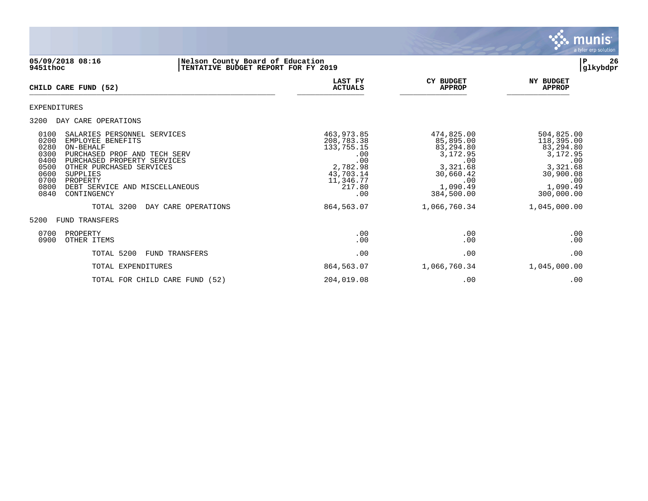

## **05/09/2018 08:16 |Nelson County Board of Education |P 26 9451thoc |TENTATIVE BUDGET REPORT FOR FY 2019 |glkybdpr**

| <b>CHILD CARE FUND (52)</b>                                                                                                                                                                                                                                                                                                 | <b>LAST FY</b><br><b>ACTUALS</b>                                                                            | <b>CY BUDGET</b><br><b>APPROP</b>                                                                                 | <b>NY BUDGET</b><br><b>APPROP</b>                                                                                  |
|-----------------------------------------------------------------------------------------------------------------------------------------------------------------------------------------------------------------------------------------------------------------------------------------------------------------------------|-------------------------------------------------------------------------------------------------------------|-------------------------------------------------------------------------------------------------------------------|--------------------------------------------------------------------------------------------------------------------|
| EXPENDITURES                                                                                                                                                                                                                                                                                                                |                                                                                                             |                                                                                                                   |                                                                                                                    |
| 3200<br>DAY CARE OPERATIONS                                                                                                                                                                                                                                                                                                 |                                                                                                             |                                                                                                                   |                                                                                                                    |
| 0100<br>SALARIES PERSONNEL SERVICES<br>0200<br>EMPLOYEE BENEFITS<br>0280<br>ON-BEHALF<br>0300<br>PURCHASED PROF AND TECH SERV<br>0400<br>PURCHASED PROPERTY SERVICES<br>0500<br>OTHER PURCHASED SERVICES<br>0600<br><b>SUPPLIES</b><br>0700<br>PROPERTY<br>0800<br>DEBT SERVICE<br>AND MISCELLANEOUS<br>0840<br>CONTINGENCY | 463,973.85<br>208,783.38<br>133,755.15<br>.00<br>.00<br>2,782.98<br>43,703.14<br>11,346.77<br>217.80<br>.00 | 474,825.00<br>85,895.00<br>83,294.80<br>3,172.95<br>.00<br>3,321.68<br>30,660.42<br>.00<br>1,090.49<br>384,500.00 | 504,825.00<br>118,395.00<br>83,294.80<br>3,172.95<br>.00<br>3,321.68<br>30,900.08<br>.00<br>1,090.49<br>300,000.00 |
| TOTAL 3200<br>DAY CARE OPERATIONS                                                                                                                                                                                                                                                                                           | 864,563.07                                                                                                  | 1,066,760.34                                                                                                      | 1,045,000.00                                                                                                       |
| 5200<br>FUND TRANSFERS                                                                                                                                                                                                                                                                                                      |                                                                                                             |                                                                                                                   |                                                                                                                    |
| 0700<br>PROPERTY<br>0900<br>OTHER ITEMS                                                                                                                                                                                                                                                                                     | .00<br>.00                                                                                                  | .00<br>.00                                                                                                        | .00<br>.00                                                                                                         |
| TOTAL 5200<br>FUND TRANSFERS                                                                                                                                                                                                                                                                                                | .00                                                                                                         | .00                                                                                                               | .00                                                                                                                |
| TOTAL EXPENDITURES                                                                                                                                                                                                                                                                                                          | 864,563.07                                                                                                  | 1,066,760.34                                                                                                      | 1,045,000.00                                                                                                       |
| TOTAL FOR CHILD CARE FUND (52)                                                                                                                                                                                                                                                                                              | 204,019.08                                                                                                  | .00                                                                                                               | .00                                                                                                                |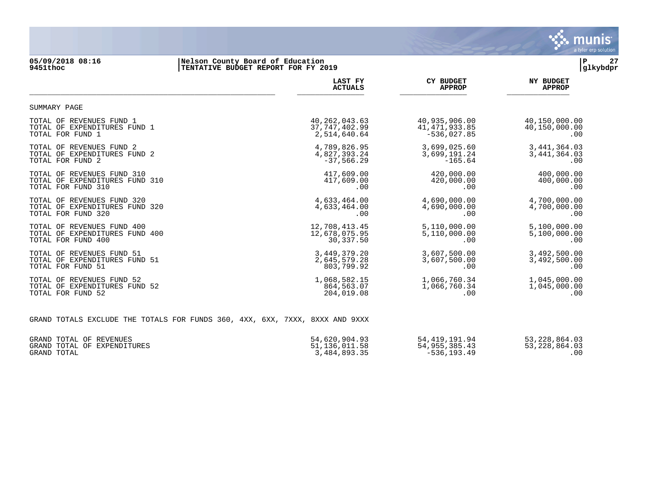

#### **05/09/2018 08:16 |Nelson County Board of Education |P 27 9451thoc |TENTATIVE BUDGET REPORT FOR FY 2019 |glkybdpr**

|                                                                              | LAST FY         | <b>CY BUDGET</b> | <b>NY BUDGET</b> |
|------------------------------------------------------------------------------|-----------------|------------------|------------------|
|                                                                              | <b>ACTUALS</b>  | <b>APPROP</b>    | <b>APPROP</b>    |
| SUMMARY PAGE                                                                 |                 |                  |                  |
| TOTAL OF REVENUES FUND 1                                                     | 40, 262, 043.63 | 40,935,906.00    | 40,150,000.00    |
| TOTAL OF EXPENDITURES FUND 1                                                 | 37, 747, 402.99 | 41, 471, 933.85  | 40,150,000.00    |
| TOTAL FOR FUND 1                                                             | 2,514,640.64    | $-536,027.85$    | .00              |
| TOTAL OF REVENUES FUND 2                                                     | 4,789,826.95    | 3,699,025.60     | 3, 441, 364.03   |
| TOTAL OF EXPENDITURES FUND 2                                                 | 4,827,393.24    | 3,699,191.24     | 3, 441, 364.03   |
| TOTAL FOR FUND 2                                                             | $-37,566.29$    | $-165.64$        | .00              |
| TOTAL OF REVENUES FUND 310                                                   | 417,609.00      | 420,000.00       | 400,000.00       |
| TOTAL OF EXPENDITURES FUND 310                                               | 417,609.00      | 420,000.00       | 400,000.00       |
| TOTAL FOR FUND 310                                                           | .00             | .00              | .00              |
| TOTAL OF REVENUES FUND 320                                                   | 4,633,464.00    | 4,690,000.00     | 4,700,000.00     |
| TOTAL OF EXPENDITURES FUND 320                                               | 4,633,464.00    | 4,690,000.00     | 4,700,000.00     |
| TOTAL FOR FUND 320                                                           | .00             | .00              | .00              |
| TOTAL OF REVENUES FUND 400                                                   | 12,708,413.45   | 5,110,000.00     | 5,100,000.00     |
| TOTAL OF EXPENDITURES FUND 400                                               | 12,678,075.95   | 5,110,000.00     | 5,100,000.00     |
| TOTAL FOR FUND 400                                                           | 30,337.50       | .00              | .00              |
| TOTAL OF REVENUES FUND 51                                                    | 3,449,379.20    | 3,607,500.00     | 3,492,500.00     |
| TOTAL OF EXPENDITURES FUND 51                                                | 2,645,579.28    | 3,607,500.00     | 3,492,500.00     |
| TOTAL FOR FUND 51                                                            | 803,799.92      | .00              | .00              |
| TOTAL OF REVENUES FUND 52                                                    | 1,068,582.15    | 1,066,760.34     | 1,045,000.00     |
| TOTAL OF EXPENDITURES FUND 52                                                | 864,563.07      | 1,066,760.34     | 1,045,000.00     |
| TOTAL FOR FUND 52                                                            | 204,019.08      | .00              | .00              |
| GRAND TOTALS EXCLUDE THE TOTALS FOR FUNDS 360, 4XX, 6XX, 7XXX, 8XXX AND 9XXX |                 |                  |                  |
| GRAND TOTAL OF REVENUES                                                      | 54,620,904.93   | 54, 419, 191.94  | 53, 228, 864.03  |
| GRAND TOTAL OF EXPENDITURES                                                  | 51,136,011.58   | 54, 955, 385.43  | 53, 228, 864.03  |

GRAND TOTAL 3,484,893.35 -536,193.49 .00